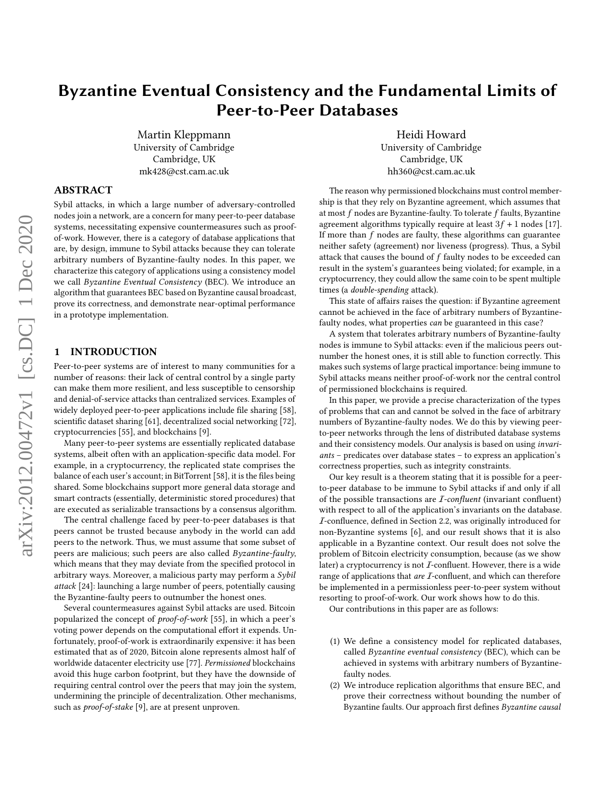# Byzantine Eventual Consistency and the Fundamental Limits of Peer-to-Peer Databases

Martin Kleppmann University of Cambridge Cambridge, UK mk428@cst.cam.ac.uk

Heidi Howard University of Cambridge Cambridge, UK hh360@cst.cam.ac.uk

# ABSTRACT

Sybil attacks, in which a large number of adversary-controlled nodes join a network, are a concern for many peer-to-peer database systems, necessitating expensive countermeasures such as proofof-work. However, there is a category of database applications that are, by design, immune to Sybil attacks because they can tolerate arbitrary numbers of Byzantine-faulty nodes. In this paper, we characterize this category of applications using a consistency model we call Byzantine Eventual Consistency (BEC). We introduce an algorithm that guarantees BEC based on Byzantine causal broadcast, prove its correctness, and demonstrate near-optimal performance in a prototype implementation.

## 1 INTRODUCTION

Peer-to-peer systems are of interest to many communities for a number of reasons: their lack of central control by a single party can make them more resilient, and less susceptible to censorship and denial-of-service attacks than centralized services. Examples of widely deployed peer-to-peer applications include file sharing [\[58\]](#page-13-0), scientific dataset sharing [\[61\]](#page-13-1), decentralized social networking [\[72\]](#page-13-2), cryptocurrencies [\[55\]](#page-13-3), and blockchains [\[9\]](#page-12-0).

Many peer-to-peer systems are essentially replicated database systems, albeit often with an application-specific data model. For example, in a cryptocurrency, the replicated state comprises the balance of each user's account; in BitTorrent [\[58\]](#page-13-0), it is the files being shared. Some blockchains support more general data storage and smart contracts (essentially, deterministic stored procedures) that are executed as serializable transactions by a consensus algorithm.

The central challenge faced by peer-to-peer databases is that peers cannot be trusted because anybody in the world can add peers to the network. Thus, we must assume that some subset of peers are malicious; such peers are also called Byzantine-faulty, which means that they may deviate from the specified protocol in arbitrary ways. Moreover, a malicious party may perform a Sybil attack [\[24\]](#page-12-1): launching a large number of peers, potentially causing the Byzantine-faulty peers to outnumber the honest ones.

Several countermeasures against Sybil attacks are used. Bitcoin popularized the concept of proof-of-work [\[55\]](#page-13-3), in which a peer's voting power depends on the computational effort it expends. Unfortunately, proof-of-work is extraordinarily expensive: it has been estimated that as of 2020, Bitcoin alone represents almost half of worldwide datacenter electricity use [\[77\]](#page-13-4). Permissioned blockchains avoid this huge carbon footprint, but they have the downside of requiring central control over the peers that may join the system, undermining the principle of decentralization. Other mechanisms, such as proof-of-stake [\[9\]](#page-12-0), are at present unproven.

The reason why permissioned blockchains must control membership is that they rely on Byzantine agreement, which assumes that at most  $f$  nodes are Byzantine-faulty. To tolerate  $f$  faults, Byzantine agreement algorithms typically require at least  $3f + 1$  nodes [\[17\]](#page-12-2). If more than  $f$  nodes are faulty, these algorithms can guarantee neither safety (agreement) nor liveness (progress). Thus, a Sybil attack that causes the bound of  $f$  faulty nodes to be exceeded can result in the system's guarantees being violated; for example, in a cryptocurrency, they could allow the same coin to be spent multiple times (a double-spending attack).

This state of affairs raises the question: if Byzantine agreement cannot be achieved in the face of arbitrary numbers of Byzantinefaulty nodes, what properties can be guaranteed in this case?

A system that tolerates arbitrary numbers of Byzantine-faulty nodes is immune to Sybil attacks: even if the malicious peers outnumber the honest ones, it is still able to function correctly. This makes such systems of large practical importance: being immune to Sybil attacks means neither proof-of-work nor the central control of permissioned blockchains is required.

In this paper, we provide a precise characterization of the types of problems that can and cannot be solved in the face of arbitrary numbers of Byzantine-faulty nodes. We do this by viewing peerto-peer networks through the lens of distributed database systems and their consistency models. Our analysis is based on using invariants – predicates over database states – to express an application's correctness properties, such as integrity constraints.

Our key result is a theorem stating that it is possible for a peerto-peer database to be immune to Sybil attacks if and only if all of the possible transactions are  $I$ -confluent (invariant confluent) with respect to all of the application's invariants on the database. I-confluence, defined in Section [2.2,](#page-1-0) was originally introduced for non-Byzantine systems [\[6\]](#page-12-3), and our result shows that it is also applicable in a Byzantine context. Our result does not solve the problem of Bitcoin electricity consumption, because (as we show later) a cryptocurrency is not  $I$ -confluent. However, there is a wide range of applications that are *I*-confluent, and which can therefore be implemented in a permissionless peer-to-peer system without resorting to proof-of-work. Our work shows how to do this.

Our contributions in this paper are as follows:

- (1) We define a consistency model for replicated databases, called Byzantine eventual consistency (BEC), which can be achieved in systems with arbitrary numbers of Byzantinefaulty nodes.
- (2) We introduce replication algorithms that ensure BEC, and prove their correctness without bounding the number of Byzantine faults. Our approach first defines Byzantine causal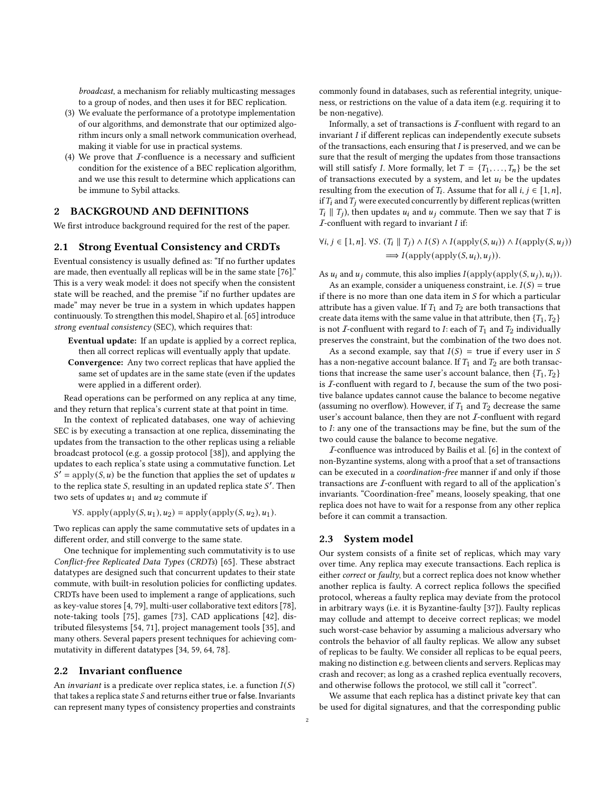broadcast, a mechanism for reliably multicasting messages to a group of nodes, and then uses it for BEC replication.

- (3) We evaluate the performance of a prototype implementation of our algorithms, and demonstrate that our optimized algorithm incurs only a small network communication overhead, making it viable for use in practical systems.
- (4) We prove that  $I$ -confluence is a necessary and sufficient condition for the existence of a BEC replication algorithm, and we use this result to determine which applications can be immune to Sybil attacks.

## 2 BACKGROUND AND DEFINITIONS

We first introduce background required for the rest of the paper.

#### <span id="page-1-2"></span>2.1 Strong Eventual Consistency and CRDTs

Eventual consistency is usually defined as: "If no further updates are made, then eventually all replicas will be in the same state [\[76\]](#page-13-5)." This is a very weak model: it does not specify when the consistent state will be reached, and the premise "if no further updates are made" may never be true in a system in which updates happen continuously. To strengthen this model, Shapiro et al. [\[65\]](#page-13-6) introduce strong eventual consistency (SEC), which requires that:

- Eventual update: If an update is applied by a correct replica, then all correct replicas will eventually apply that update.
- Convergence: Any two correct replicas that have applied the same set of updates are in the same state (even if the updates were applied in a different order).

Read operations can be performed on any replica at any time, and they return that replica's current state at that point in time.

In the context of replicated databases, one way of achieving SEC is by executing a transaction at one replica, disseminating the updates from the transaction to the other replicas using a reliable broadcast protocol (e.g. a gossip protocol [\[38\]](#page-12-4)), and applying the updates to each replica's state using a commutative function. Let  $S' = \text{apply}(S, u)$  be the function that applies the set of updates u to the replica state S, resulting in an updated replica state  $S'$ . Then two sets of updates  $u_1$  and  $u_2$  commute if

 $\forall S.$  apply(apply( $S, u_1$ ),  $u_2$ ) = apply(apply( $S, u_2$ ),  $u_1$ ).

Two replicas can apply the same commutative sets of updates in a different order, and still converge to the same state.

One technique for implementing such commutativity is to use Conflict-free Replicated Data Types (CRDTs) [\[65\]](#page-13-6). These abstract datatypes are designed such that concurrent updates to their state commute, with built-in resolution policies for conflicting updates. CRDTs have been used to implement a range of applications, such as key-value stores [\[4,](#page-12-5) [79\]](#page-13-7), multi-user collaborative text editors [\[78\]](#page-13-8), note-taking tools [\[75\]](#page-13-9), games [\[73\]](#page-13-10), CAD applications [\[42\]](#page-12-6), distributed filesystems [\[54,](#page-13-11) [71\]](#page-13-12), project management tools [\[35\]](#page-12-7), and many others. Several papers present techniques for achieving commutativity in different datatypes [\[34,](#page-12-8) [59,](#page-13-13) [64,](#page-13-14) [78\]](#page-13-8).

#### <span id="page-1-0"></span>2.2 Invariant confluence

An invariant is a predicate over replica states, i.e. a function  $I(S)$ that takes a replica state  $S$  and returns either true or false. Invariants can represent many types of consistency properties and constraints commonly found in databases, such as referential integrity, uniqueness, or restrictions on the value of a data item (e.g. requiring it to be non-negative).

Informally, a set of transactions is  $I$ -confluent with regard to an  $invariant I$  if different replicas can independently execute subsets of the transactions, each ensuring that  $I$  is preserved, and we can be sure that the result of merging the updates from those transactions will still satisfy *I*. More formally, let  $T = \{T_1, \ldots, T_n\}$  be the set of transactions executed by a system, and let  $u_i$  be the updates resulting from the execution of  $T_i$ . Assume that for all  $i, j \in [1, n]$ , if  $T_i$  and  $T_i$  were executed concurrently by different replicas (written  $T_i \parallel T_i$ ), then updates  $u_i$  and  $u_j$  commute. Then we say that T is  $I$ -confluent with regard to invariant  $I$  if:

 $\forall i, j \in [1, n]. \forall S. (T_i || T_j) ∧ I(S) ∧ I(\text{apply}(S, u_i)) ∧ I(\text{apply}(S, u_j))$  $\Rightarrow I(\text{apply}(\text{apply}(S, u_i), u_i)).$ 

As  $u_i$  and  $u_j$  commute, this also implies  $I(\text{apply}(\text{apply}(S, u_i), u_i)).$ 

As an example, consider a uniqueness constraint, i.e.  $I(S)$  = true if there is no more than one data item in  $S$  for which a particular attribute has a given value. If  $T_1$  and  $T_2$  are both transactions that create data items with the same value in that attribute, then  $\{T_1, T_2\}$ is not *I*-confluent with regard to *I*: each of  $T_1$  and  $T_2$  individually preserves the constraint, but the combination of the two does not.

As a second example, say that  $I(S) =$  true if every user in S has a non-negative account balance. If  $T_1$  and  $T_2$  are both transactions that increase the same user's account balance, then  $\{T_1, T_2\}$ is  $I$ -confluent with regard to  $I$ , because the sum of the two positive balance updates cannot cause the balance to become negative (assuming no overflow). However, if  $T_1$  and  $T_2$  decrease the same user's account balance, then they are not  $I$ -confluent with regard to  $I$ : any one of the transactions may be fine, but the sum of the two could cause the balance to become negative.

I-confluence was introduced by Bailis et al. [\[6\]](#page-12-3) in the context of non-Byzantine systems, along with a proof that a set of transactions can be executed in a coordination-free manner if and only if those transactions are I-confluent with regard to all of the application's invariants. "Coordination-free" means, loosely speaking, that one replica does not have to wait for a response from any other replica before it can commit a transaction.

#### <span id="page-1-1"></span>2.3 System model

Our system consists of a finite set of replicas, which may vary over time. Any replica may execute transactions. Each replica is either correct or faulty, but a correct replica does not know whether another replica is faulty. A correct replica follows the specified protocol, whereas a faulty replica may deviate from the protocol in arbitrary ways (i.e. it is Byzantine-faulty [\[37\]](#page-12-9)). Faulty replicas may collude and attempt to deceive correct replicas; we model such worst-case behavior by assuming a malicious adversary who controls the behavior of all faulty replicas. We allow any subset of replicas to be faulty. We consider all replicas to be equal peers, making no distinction e.g. between clients and servers. Replicas may crash and recover; as long as a crashed replica eventually recovers, and otherwise follows the protocol, we still call it "correct".

We assume that each replica has a distinct private key that can be used for digital signatures, and that the corresponding public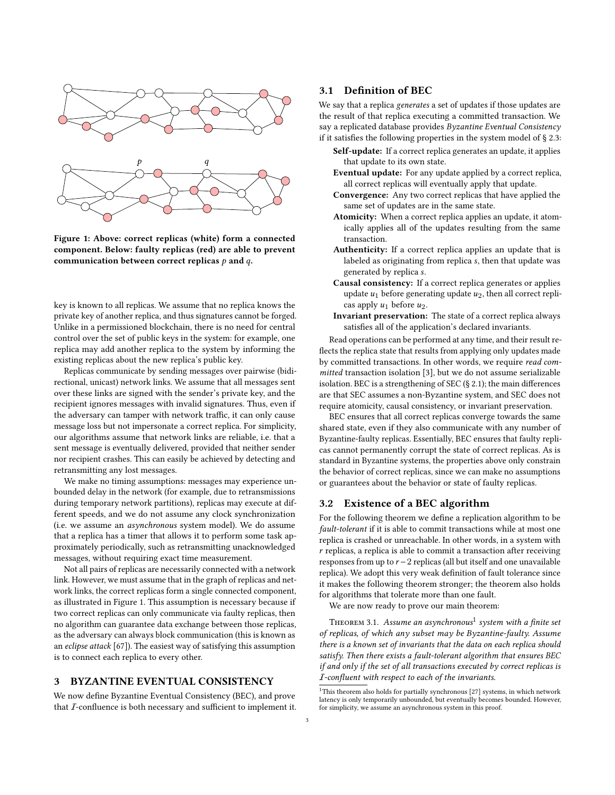<span id="page-2-0"></span>

Figure 1: Above: correct replicas (white) form a connected component. Below: faulty replicas (red) are able to prevent communication between correct replicas  $p$  and  $q$ .

key is known to all replicas. We assume that no replica knows the private key of another replica, and thus signatures cannot be forged. Unlike in a permissioned blockchain, there is no need for central control over the set of public keys in the system: for example, one replica may add another replica to the system by informing the existing replicas about the new replica's public key.

Replicas communicate by sending messages over pairwise (bidirectional, unicast) network links. We assume that all messages sent over these links are signed with the sender's private key, and the recipient ignores messages with invalid signatures. Thus, even if the adversary can tamper with network traffic, it can only cause message loss but not impersonate a correct replica. For simplicity, our algorithms assume that network links are reliable, i.e. that a sent message is eventually delivered, provided that neither sender nor recipient crashes. This can easily be achieved by detecting and retransmitting any lost messages.

We make no timing assumptions: messages may experience unbounded delay in the network (for example, due to retransmissions during temporary network partitions), replicas may execute at different speeds, and we do not assume any clock synchronization (i.e. we assume an asynchronous system model). We do assume that a replica has a timer that allows it to perform some task approximately periodically, such as retransmitting unacknowledged messages, without requiring exact time measurement.

Not all pairs of replicas are necessarily connected with a network link. However, we must assume that in the graph of replicas and network links, the correct replicas form a single connected component, as illustrated in Figure [1.](#page-2-0) This assumption is necessary because if two correct replicas can only communicate via faulty replicas, then no algorithm can guarantee data exchange between those replicas, as the adversary can always block communication (this is known as an eclipse attack [\[67\]](#page-13-15)). The easiest way of satisfying this assumption is to connect each replica to every other.

# 3 BYZANTINE EVENTUAL CONSISTENCY

We now define Byzantine Eventual Consistency (BEC), and prove that  $I$ -confluence is both necessary and sufficient to implement it.

# <span id="page-2-3"></span>3.1 Definition of BEC

We say that a replica generates a set of updates if those updates are the result of that replica executing a committed transaction. We say a replicated database provides Byzantine Eventual Consistency if it satisfies the following properties in the system model of § [2.3:](#page-1-1)

- Self-update: If a correct replica generates an update, it applies that update to its own state.
- Eventual update: For any update applied by a correct replica, all correct replicas will eventually apply that update.
- Convergence: Any two correct replicas that have applied the same set of updates are in the same state.
- Atomicity: When a correct replica applies an update, it atomically applies all of the updates resulting from the same transaction.
- Authenticity: If a correct replica applies an update that is labeled as originating from replica s, then that update was generated by replica .
- Causal consistency: If a correct replica generates or applies update  $u_1$  before generating update  $u_2$ , then all correct replicas apply  $u_1$  before  $u_2$ .
- Invariant preservation: The state of a correct replica always satisfies all of the application's declared invariants.

Read operations can be performed at any time, and their result reflects the replica state that results from applying only updates made by committed transactions. In other words, we require read committed transaction isolation [\[3\]](#page-12-10), but we do not assume serializable isolation. BEC is a strengthening of SEC (§ [2.1\)](#page-1-2); the main differences are that SEC assumes a non-Byzantine system, and SEC does not require atomicity, causal consistency, or invariant preservation.

BEC ensures that all correct replicas converge towards the same shared state, even if they also communicate with any number of Byzantine-faulty replicas. Essentially, BEC ensures that faulty replicas cannot permanently corrupt the state of correct replicas. As is standard in Byzantine systems, the properties above only constrain the behavior of correct replicas, since we can make no assumptions or guarantees about the behavior or state of faulty replicas.

## 3.2 Existence of a BEC algorithm

For the following theorem we define a replication algorithm to be fault-tolerant if it is able to commit transactions while at most one replica is crashed or unreachable. In other words, in a system with  $r$  replicas, a replica is able to commit a transaction after receiving responses from up to  $r - 2$  replicas (all but itself and one unavailable replica). We adopt this very weak definition of fault tolerance since it makes the following theorem stronger; the theorem also holds for algorithms that tolerate more than one fault.

We are now ready to prove our main theorem:

<span id="page-2-2"></span>THEOREM 3.[1](#page-2-1). Assume an asynchronous $^1$  system with a finite set of replicas, of which any subset may be Byzantine-faulty. Assume there is a known set of invariants that the data on each replica should satisfy. Then there exists a fault-tolerant algorithm that ensures BEC if and only if the set of all transactions executed by correct replicas is I-confluent with respect to each of the invariants.

<span id="page-2-1"></span> $^1\mathrm{This}$  theorem also holds for partially synchronous [\[27\]](#page-12-11) systems, in which network latency is only temporarily unbounded, but eventually becomes bounded. However, for simplicity, we assume an asynchronous system in this proof.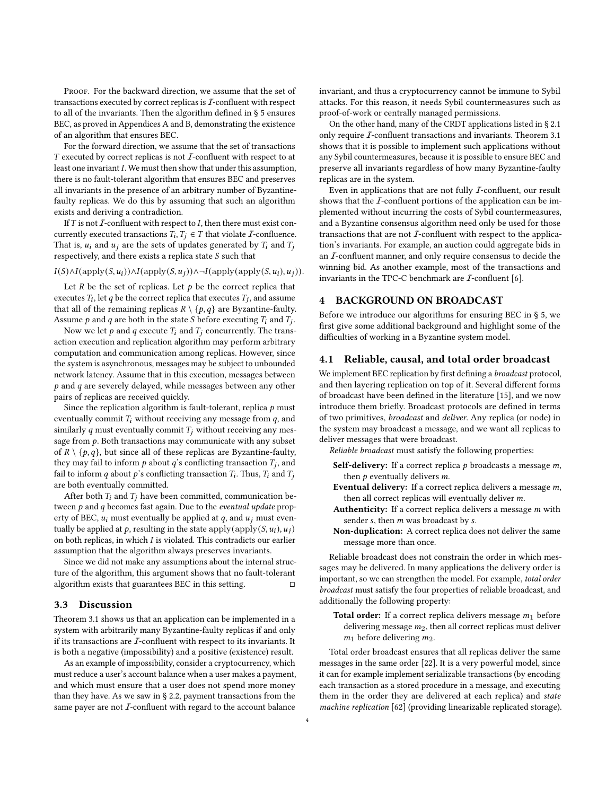PROOF. For the backward direction, we assume that the set of transactions executed by correct replicas is  $I$ -confluent with respect to all of the invariants. Then the algorithm defined in § [5](#page-4-0) ensures BEC, as proved in Appendices [A](#page-13-16) and [B,](#page-15-0) demonstrating the existence of an algorithm that ensures BEC.

For the forward direction, we assume that the set of transactions  $T$  executed by correct replicas is not  $I$ -confluent with respect to at least one invariant  $I$ . We must then show that under this assumption, there is no fault-tolerant algorithm that ensures BEC and preserves all invariants in the presence of an arbitrary number of Byzantinefaulty replicas. We do this by assuming that such an algorithm exists and deriving a contradiction.

If  $T$  is not  $\mathcal I$ -confluent with respect to  $I$ , then there must exist concurrently executed transactions  $\overline{T}_i, T_i \in T$  that violate  $\overline{I}$ -confluence. That is,  $u_i$  and  $u_j$  are the sets of updates generated by  $T_i$  and  $T_j$ respectively, and there exists a replica state  $S$  such that

 $I(S) \wedge I(\text{apply}(S, u_i)) \wedge I(\text{apply}(S, u_j)) \wedge \neg I(\text{apply}(\text{apply}(S, u_i), u_j)).$ 

Let  $R$  be the set of replicas. Let  $p$  be the correct replica that executes  $T_i$ , let q be the correct replica that executes  $T_i$ , and assume that all of the remaining replicas  $R \setminus \{p, q\}$  are Byzantine-faulty. Assume  $p$  and  $q$  are both in the state  $S$  before executing  $T_i$  and  $T_j$ .

Now we let  $p$  and  $q$  execute  $T_i$  and  $T_j$  concurrently. The transaction execution and replication algorithm may perform arbitrary computation and communication among replicas. However, since the system is asynchronous, messages may be subject to unbounded network latency. Assume that in this execution, messages between  $p$  and  $q$  are severely delayed, while messages between any other pairs of replicas are received quickly.

Since the replication algorithm is fault-tolerant, replica  $p$  must eventually commit  $T_i$  without receiving any message from  $q$ , and similarly  $q$  must eventually commit  $T_j$  without receiving any message from  $p$ . Both transactions may communicate with any subset of  $R \setminus \{p, q\}$ , but since all of these replicas are Byzantine-faulty, they may fail to inform  $p$  about  $q$ 's conflicting transaction  $T_i$ , and fail to inform q about p's conflicting transaction  $T_i$ . Thus,  $T_i$  and  $T_j$ are both eventually committed.

After both  $T_i$  and  $T_j$  have been committed, communication between  $p$  and  $q$  becomes fast again. Due to the eventual update property of BEC,  $u_i$  must eventually be applied at  $q$ , and  $u_j$  must eventually be applied at p, resulting in the state  $\text{apply}(\text{apply}(S, u_i), u_j)$ on both replicas, in which  $I$  is violated. This contradicts our earlier assumption that the algorithm always preserves invariants.

Since we did not make any assumptions about the internal structure of the algorithm, this argument shows that no fault-tolerant algorithm exists that guarantees BEC in this setting.  $□$ 

#### 3.3 Discussion

Theorem [3.1](#page-2-2) shows us that an application can be implemented in a system with arbitrarily many Byzantine-faulty replicas if and only if its transactions are  $I$ -confluent with respect to its invariants. It is both a negative (impossibility) and a positive (existence) result.

As an example of impossibility, consider a cryptocurrency, which must reduce a user's account balance when a user makes a payment, and which must ensure that a user does not spend more money than they have. As we saw in § [2.2,](#page-1-0) payment transactions from the same payer are not  $I$ -confluent with regard to the account balance

invariant, and thus a cryptocurrency cannot be immune to Sybil attacks. For this reason, it needs Sybil countermeasures such as proof-of-work or centrally managed permissions.

On the other hand, many of the CRDT applications listed in § [2.1](#page-1-2) only require I-confluent transactions and invariants. Theorem [3.1](#page-2-2) shows that it is possible to implement such applications without any Sybil countermeasures, because it is possible to ensure BEC and preserve all invariants regardless of how many Byzantine-faulty replicas are in the system.

Even in applications that are not fully  $I$ -confluent, our result shows that the  $I$ -confluent portions of the application can be implemented without incurring the costs of Sybil countermeasures, and a Byzantine consensus algorithm need only be used for those transactions that are not  $I$ -confluent with respect to the application's invariants. For example, an auction could aggregate bids in an I-confluent manner, and only require consensus to decide the winning bid. As another example, most of the transactions and invariants in the TPC-C benchmark are  $I$ -confluent [\[6\]](#page-12-3).

#### <span id="page-3-0"></span>4 BACKGROUND ON BROADCAST

Before we introduce our algorithms for ensuring BEC in § [5,](#page-4-0) we first give some additional background and highlight some of the difficulties of working in a Byzantine system model.

#### <span id="page-3-1"></span>4.1 Reliable, causal, and total order broadcast

We implement BEC replication by first defining a *broadcast* protocol, and then layering replication on top of it. Several different forms of broadcast have been defined in the literature [\[15\]](#page-12-12), and we now introduce them briefly. Broadcast protocols are defined in terms of two primitives, broadcast and deliver. Any replica (or node) in the system may broadcast a message, and we want all replicas to deliver messages that were broadcast.

Reliable broadcast must satisfy the following properties:

- Self-delivery: If a correct replica  $p$  broadcasts a message  $m$ , then  $p$  eventually delivers  $m$ .
- Eventual delivery: If a correct replica delivers a message  $m$ , then all correct replicas will eventually deliver  $m$ .
- Authenticity: If a correct replica delivers a message  $m$  with sender  $s$ , then  $m$  was broadcast by  $s$ .
- Non-duplication: A correct replica does not deliver the same message more than once.

Reliable broadcast does not constrain the order in which messages may be delivered. In many applications the delivery order is important, so we can strengthen the model. For example, total order broadcast must satisfy the four properties of reliable broadcast, and additionally the following property:

Total order: If a correct replica delivers message  $m_1$  before delivering message  $m_2$ , then all correct replicas must deliver  $m_1$  before delivering  $m_2$ .

Total order broadcast ensures that all replicas deliver the same messages in the same order [\[22\]](#page-12-13). It is a very powerful model, since it can for example implement serializable transactions (by encoding each transaction as a stored procedure in a message, and executing them in the order they are delivered at each replica) and state machine replication [\[62\]](#page-13-17) (providing linearizable replicated storage).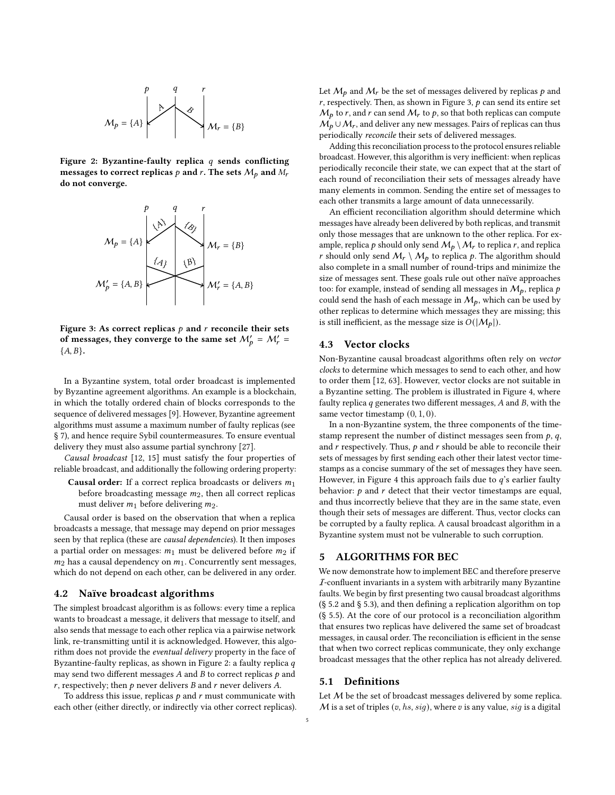<span id="page-4-1"></span>
$$
M_p = \{A\}
$$

Figure 2: Byzantine-faulty replica  $q$  sends conflicting messages to correct replicas p and r. The sets  $M_p$  and  $M_r$ do not converge.

<span id="page-4-2"></span>

Figure 3: As correct replicas  $p$  and  $r$  reconcile their sets of messages, they converge to the same set  $M'_p = M'_r =$  ${A, B}.$ 

In a Byzantine system, total order broadcast is implemented by Byzantine agreement algorithms. An example is a blockchain, in which the totally ordered chain of blocks corresponds to the sequence of delivered messages [\[9\]](#page-12-0). However, Byzantine agreement algorithms must assume a maximum number of faulty replicas (see § [7\)](#page-10-0), and hence require Sybil countermeasures. To ensure eventual delivery they must also assume partial synchrony [\[27\]](#page-12-11).

Causal broadcast [\[12,](#page-12-14) [15\]](#page-12-12) must satisfy the four properties of reliable broadcast, and additionally the following ordering property:

**Causal order:** If a correct replica broadcasts or delivers  $m_1$ before broadcasting message  $m_2$ , then all correct replicas must deliver  $m_1$  before delivering  $m_2$ .

Causal order is based on the observation that when a replica broadcasts a message, that message may depend on prior messages seen by that replica (these are causal dependencies). It then imposes a partial order on messages:  $m_1$  must be delivered before  $m_2$  if  $m_2$  has a causal dependency on  $m_1$ . Concurrently sent messages, which do not depend on each other, can be delivered in any order.

#### 4.2 Naïve broadcast algorithms

The simplest broadcast algorithm is as follows: every time a replica wants to broadcast a message, it delivers that message to itself, and also sends that message to each other replica via a pairwise network link, re-transmitting until it is acknowledged. However, this algorithm does not provide the eventual delivery property in the face of Byzantine-faulty replicas, as shown in Figure [2:](#page-4-1) a faulty replica  $q$ may send two different messages  $A$  and  $B$  to correct replicas  $p$  and  $r$ , respectively; then  $p$  never delivers  $B$  and  $r$  never delivers  $A$ .

To address this issue, replicas  $p$  and  $r$  must communicate with each other (either directly, or indirectly via other correct replicas). Let  $\mathcal{M}_p$  and  $\mathcal{M}_r$  be the set of messages delivered by replicas  $p$  and  $r$ , respectively. Then, as shown in Figure [3,](#page-4-2)  $p$  can send its entire set  $M_{p}$  to r, and r can send  $M_{r}$  to p, so that both replicas can compute  $M_p \cup M_r$ , and deliver any new messages. Pairs of replicas can thus periodically reconcile their sets of delivered messages.

Adding this reconciliation process to the protocol ensures reliable broadcast. However, this algorithm is very inefficient: when replicas periodically reconcile their state, we can expect that at the start of each round of reconciliation their sets of messages already have many elements in common. Sending the entire set of messages to each other transmits a large amount of data unnecessarily.

An efficient reconciliation algorithm should determine which messages have already been delivered by both replicas, and transmit only those messages that are unknown to the other replica. For example, replica p should only send  $M_p \setminus M_r$  to replica r, and replica r should only send  $M_r \setminus M_p$  to replica p. The algorithm should also complete in a small number of round-trips and minimize the size of messages sent. These goals rule out other naïve approaches too: for example, instead of sending all messages in  $M_p$ , replica p could send the hash of each message in  $M_p$ , which can be used by other replicas to determine which messages they are missing; this is still inefficient, as the message size is  $O(|M_p|)$ .

#### 4.3 Vector clocks

Non-Byzantine causal broadcast algorithms often rely on vector clocks to determine which messages to send to each other, and how to order them [\[12,](#page-12-14) [63\]](#page-13-18). However, vector clocks are not suitable in a Byzantine setting. The problem is illustrated in Figure [4,](#page-5-0) where faulty replica  $q$  generates two different messages,  $A$  and  $B$ , with the same vector timestamp  $(0, 1, 0)$ .

In a non-Byzantine system, the three components of the timestamp represent the number of distinct messages seen from  $p$ ,  $q$ , and  $r$  respectively. Thus,  $p$  and  $r$  should be able to reconcile their sets of messages by first sending each other their latest vector timestamps as a concise summary of the set of messages they have seen. However, in Figure [4](#page-5-0) this approach fails due to  $q$ 's earlier faulty behavior:  $p$  and  $r$  detect that their vector timestamps are equal, and thus incorrectly believe that they are in the same state, even though their sets of messages are different. Thus, vector clocks can be corrupted by a faulty replica. A causal broadcast algorithm in a Byzantine system must not be vulnerable to such corruption.

# <span id="page-4-0"></span>5 ALGORITHMS FOR BEC

We now demonstrate how to implement BEC and therefore preserve  $I$ -confluent invariants in a system with arbitrarily many Byzantine faults. We begin by first presenting two causal broadcast algorithms (§ [5.2](#page-5-1) and § [5.3\)](#page-7-0), and then defining a replication algorithm on top (§ [5.5\)](#page-9-0). At the core of our protocol is a reconciliation algorithm that ensures two replicas have delivered the same set of broadcast messages, in causal order. The reconciliation is efficient in the sense that when two correct replicas communicate, they only exchange broadcast messages that the other replica has not already delivered.

#### 5.1 Definitions

Let  $M$  be the set of broadcast messages delivered by some replica.  $M$  is a set of triples  $(v, hs, sig)$ , where  $v$  is any value, sig is a digital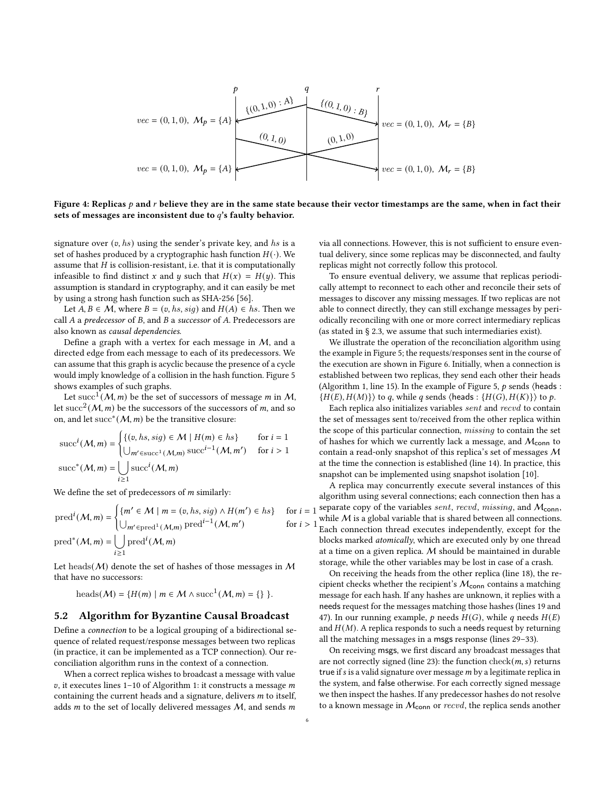<span id="page-5-0"></span>
$$
vec = (0, 1, 0), M_p = \{A\}
$$
\n
$$
vec = (0, 1, 0), M_p = \{A\}
$$
\n
$$
vec = (0, 1, 0), M_p = \{A\}
$$
\n
$$
vec = (0, 1, 0), M_r = \{B\}
$$
\n
$$
vec = (0, 1, 0), M_r = \{B\}
$$
\n
$$
vec = (0, 1, 0), M_r = \{B\}
$$

Figure 4: Replicas  $p$  and  $r$  believe they are in the same state because their vector timestamps are the same, when in fact their sets of messages are inconsistent due to  $q$ 's faulty behavior.

signature over  $(v, hs)$  using the sender's private key, and hs is a set of hashes produced by a cryptographic hash function  $H(\cdot)$ . We assume that  $H$  is collision-resistant, i.e. that it is computationally infeasible to find distinct x and y such that  $H(x) = H(y)$ . This assumption is standard in cryptography, and it can easily be met by using a strong hash function such as SHA-256 [\[56\]](#page-13-19).

Let  $A, B \in \mathcal{M}$ , where  $B = (v, hs, sig)$  and  $H(A) \in hs$ . Then we call  $A$  a predecessor of  $B$ , and  $B$  a successor of  $A$ . Predecessors are also known as causal dependencies.

Define a graph with a vertex for each message in M, and a directed edge from each message to each of its predecessors. We can assume that this graph is acyclic because the presence of a cycle would imply knowledge of a collision in the hash function. Figure [5](#page-6-0) shows examples of such graphs.

Let succ<sup>1</sup>(*M*, *m*) be the set of successors of message *m* in *M*, let succ<sup>2</sup>( $M$ ,  $m$ ) be the successors of the successors of  $m$ , and so on, and let succ<sup>\*</sup>  $(M, m)$  be the transitive closure:

$$
\text{succ}^i(\mathcal{M}, m) = \begin{cases} \{ (v, hs, sig) \in \mathcal{M} \mid H(m) \in hs \} & \text{for } i = 1 \\ \bigcup_{m' \in \text{succ}^1(\mathcal{M}, m) } \text{succ}^{i-1}(\mathcal{M}, m') & \text{for } i > 1 \end{cases}
$$
\n
$$
\text{succ}^*(\mathcal{M}, m) = \bigcup_{i \ge 1} \text{succ}^i(\mathcal{M}, m)
$$

We define the set of predecessors of  $m$  similarly:

$$
\text{pred}^{i}(\mathcal{M}, m) = \begin{cases} \{m' \in \mathcal{M} \mid m = (v, hs, sig) \land H(m') \in hs\} & \text{for } i \\ \bigcup_{m' \in \text{pred}^{1}(\mathcal{M}, m) \text{pred}^{i-1}(\mathcal{M}, m') & \text{for } i \end{cases}
$$

$$
\text{pred}^{*}(\mathcal{M}, m) = \bigcup_{i \geq 1} \text{pred}^{i}(\mathcal{M}, m)
$$

Let heads( $M$ ) denote the set of hashes of those messages in  $M$ that have no successors:

$$
heads(M) = \{H(m) \mid m \in \mathcal{M} \land succ^{1}(\mathcal{M}, m) = \{\}\}.
$$

#### <span id="page-5-1"></span>5.2 Algorithm for Byzantine Causal Broadcast

Define a connection to be a logical grouping of a bidirectional sequence of related request/response messages between two replicas (in practice, it can be implemented as a TCP connection). Our reconciliation algorithm runs in the context of a connection.

When a correct replica wishes to broadcast a message with value  $v$ , it executes lines 1-10 of Algorithm [1:](#page-6-1) it constructs a message  $m$ containing the current heads and a signature, delivers  $m$  to itself, adds  $m$  to the set of locally delivered messages  $M$ , and sends  $m$ 

via all connections. However, this is not sufficient to ensure eventual delivery, since some replicas may be disconnected, and faulty replicas might not correctly follow this protocol.

To ensure eventual delivery, we assume that replicas periodically attempt to reconnect to each other and reconcile their sets of messages to discover any missing messages. If two replicas are not able to connect directly, they can still exchange messages by periodically reconciling with one or more correct intermediary replicas (as stated in § [2.3,](#page-1-1) we assume that such intermediaries exist).

We illustrate the operation of the reconciliation algorithm using the example in Figure [5;](#page-6-0) the requests/responses sent in the course of the execution are shown in Figure [6.](#page-6-2) Initially, when a connection is established between two replicas, they send each other their heads (Algorithm [1,](#page-6-1) line [15\)](#page-5-1). In the example of Figure [5,](#page-6-0)  $p$  sends  $\langle$  heads :  $\{H(E), H(M)\}\$  to q, while q sends  $\langle$  heads :  $\{H(G), H(K)\}\rangle$  to  $p$ .

Each replica also initializes variables sent and recvd to contain the set of messages sent to/received from the other replica within the scope of this particular connection, *missing* to contain the set of hashes for which we currently lack a message, and  $M_{\text{conn}}$  to contain a read-only snapshot of this replica's set of messages M at the time the connection is established (line [14\)](#page-5-1). In practice, this snapshot can be implemented using snapshot isolation [\[10\]](#page-12-15).

 $(e \mid bs)$  for  $i = 1$  separate copy of the variables sent, recvd, missing, and  $M_{conn}$ ,  $f(x) \in \text{has } i \to 1$  while M is a global variable that is shared between all connections. A replica may concurrently execute several instances of this algorithm using several connections; each connection then has a Each connection thread executes independently, except for the blocks marked atomically, which are executed only by one thread at a time on a given replica. M should be maintained in durable storage, while the other variables may be lost in case of a crash.

> On receiving the heads from the other replica (line [18\)](#page-5-1), the recipient checks whether the recipient's  $M_{\text{conn}}$  contains a matching message for each hash. If any hashes are unknown, it replies with a needs request for the messages matching those hashes (lines [19](#page-5-1) and [47\)](#page-5-1). In our running example,  $p$  needs  $H(G)$ , while  $q$  needs  $H(E)$ and  $H(M)$ . A replica responds to such a needs request by returning all the matching messages in a msgs response (lines [29–33\)](#page-5-1).

> On receiving msgs, we first discard any broadcast messages that are not correctly signed (line [23\)](#page-5-1): the function  $check(m, s)$  returns true if  $s$  is a valid signature over message  $m$  by a legitimate replica in the system, and false otherwise. For each correctly signed message we then inspect the hashes. If any predecessor hashes do not resolve to a known message in  $M_{\text{conn}}$  or  $\mathit{recvd}$ , the replica sends another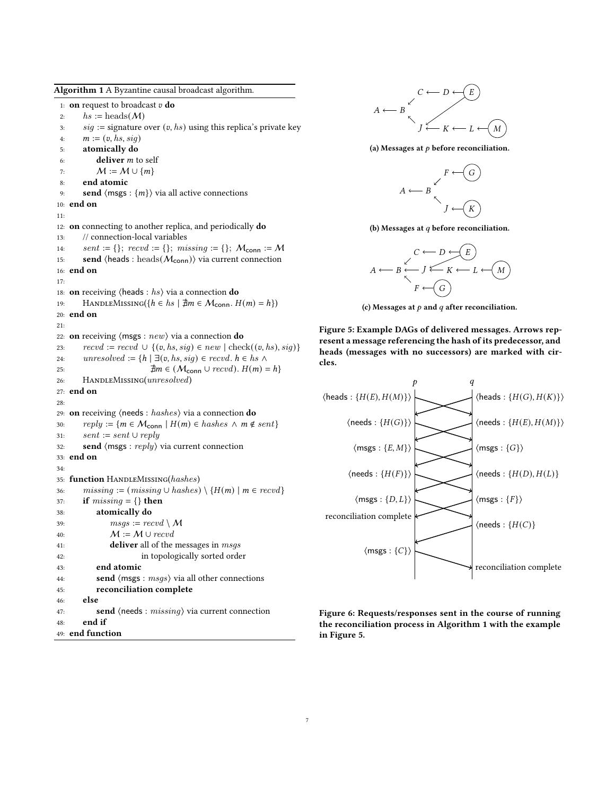<span id="page-6-1"></span>Algorithm 1 A Byzantine causal broadcast algorithm. 1: **on** request to broadcast  $v$  **do** 2:  $hs := \text{heads}(\mathcal{M})$ 3:  $sig :=$  signature over  $(v, hs)$  using this replica's private key 4:  $m := (v, hs, sig)$ 5: atomically do 6: **deliver**  $m$  to self 7:  $M := M \cup \{m\}$ 8: end atomic 9: **send**  $\langle \text{msgs} : \{m\} \rangle$  via all active connections 10: end on 11: 12: on connecting to another replica, and periodically do 13: // connection-local variables 14:  $sent := \{\}; \; record := \{\}; \; missing := \{\}; \; \mathcal{M}_{conn} := \mathcal{M}$ 15: send  $\langle heads : heads(M_{conn})\rangle$  via current connection 16: end on 17: 18: **on** receiving  $\langle$  heads :  $hs$  via a connection **do** 19: HANDLEMISSING $(\{h \in hs \mid \nexists m \in \mathcal{M}_{conn}, H(m) = h\})$ 20: end on 21: 22: **on** receiving  $\langle$  msgs :  $new$   $\rangle$  via a connection **do** 23:  $recvd := recvd \cup \{(v, hs, sig) \in new \mid check((v, hs), sig)\}\$ 24: unresolved := { $h | \exists (v, hs, sig) \in \text{rec}vd$ .  $h \in hs \land$ 25:  $\exists m \in (\mathcal{M}_{conn} \cup \text{recv})$ .  $H(m) = h$ } 26: HANDLEMISSING(unresolved) 27: end on 28: 29: on receiving ⟨needs : hashes⟩ via a connection do 30:  $reply := \{ m \in \mathcal{M}_{conn} \mid H(m) \in hashes \land m \notin sent \}$ 31:  $sent := sent \cup reply$ 32: **send**  $\langle$  msgs :  $reply$  via current connection 33: end on 34: 35: function HANDLEMISSING(hashes) 36: missing :=  $(missing \cup hashes) \setminus \{H(m) \mid m \in \text{recvd}\}\$ 37: if  $missing = \{\}$  then 38: atomically do 39:  $msgs := \text{rec} \cup M$ 40:  $M := M \cup \text{rec} \cup d$ 41: **deliver** all of the messages in *msgs* 42: in topologically sorted order 43: end atomic 44: **send**  $\langle$  msgs :  $msgs$   $\rangle$  via all other connections 45: reconciliation complete 46: else 47: **send**  $\langle$  needs :  $missing \rangle$  via current connection 48: end if 49: end function

<span id="page-6-0"></span>

(a) Messages at  $p$  before reconciliation.



(b) Messages at  $q$  before reconciliation.

$$
A \longleftarrow B \longleftarrow J \longleftarrow K \longleftarrow L \longleftarrow M
$$

$$
A \longleftarrow B \longleftarrow J \longleftarrow K \longleftarrow L \longleftarrow M
$$

$$
F \longleftarrow G
$$

(c) Messages at  $p$  and  $q$  after reconciliation.

Figure 5: Example DAGs of delivered messages. Arrows represent a message referencing the hash of its predecessor, and heads (messages with no successors) are marked with circles.

<span id="page-6-2"></span>

Figure 6: Requests/responses sent in the course of running the reconciliation process in Algorithm [1](#page-6-1) with the example in Figure [5.](#page-6-0)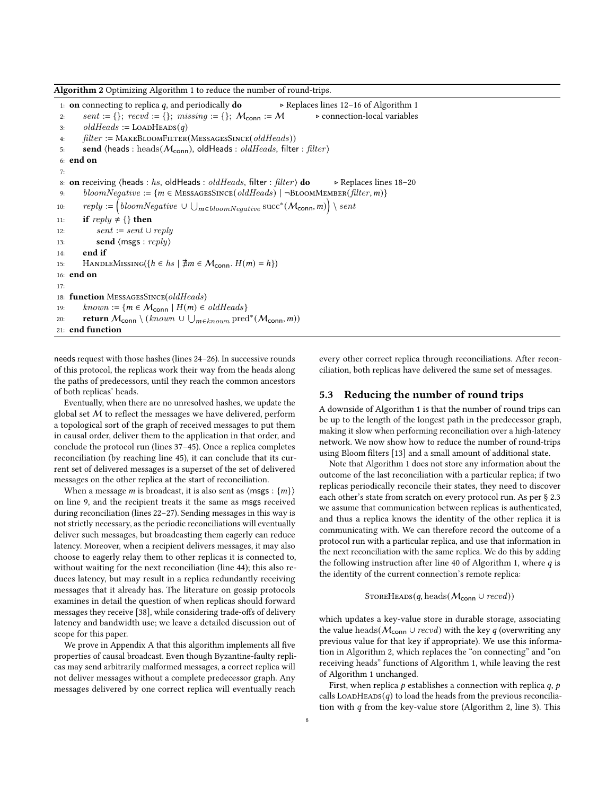<span id="page-7-1"></span>Algorithm 2 Optimizing Algorithm [1](#page-6-1) to reduce the number of round-trips.

1: **on** connecting to replica q, and periodically **do** ⊳ Replaces lines [12–16](#page-5-1) of Algorithm [1](#page-6-1) 2: sent := {};  $recvd$  := {}; missing := {};  $M_{conn}$  :=  $M \rightarrow$  connection-local variables 3: oldHeads :=  $\text{LOADHEADS}(q)$ 4:  $filter := \text{MAKEBLOOMFILTER(MESSAGESSINCE}(oldHeads))$ 5: send  $\langle heads : heads(M_{conn}), oldHeads : oldHeads, filter : filter \rangle$ 6: end on 7: 8: **on** receiving  $\langle$  heads : hs, old Heads : old Heads, filter : filter  $\rangle$  **do**  $\rightarrow$  Replaces lines [18–20](#page-5-1) 9: bloomNegative :=  $\{m \in \text{MessageSince}(oldHeads) \mid \neg \text{BroomMEMBER}(filter, m)\}\$ 10:  $reply := \left( bloomNegative \cup \bigcup_{m \in bloomNegative} succ^*(\mathcal{M}_{conn}, m) \right) \setminus sent$ 11: if  $reply \neq \{\}$  then 12:  $sent := sent \cup reply$ 13: **send**  $\langle$  msgs :  $reply \rangle$ 14: end if 15: HANDLEMISSING $(\{h \in hs \mid \nexists m \in \mathcal{M}_{conn.} H(m) = h\})$ 16: end on 17: 18: function MESSAGESSINCE(oldHeads) 19:  $known := \{ m \in \mathcal{M}_{conn} \mid H(m) \in oldHeads \}$ 20: **return**  $M_{\mathsf{conn}} \setminus (known \cup \bigcup_{m \in known} \mathrm{pred}^*(M_{\mathsf{conn}}, m))$ 21: end function

needs request with those hashes (lines [24–26\)](#page-5-1). In successive rounds of this protocol, the replicas work their way from the heads along the paths of predecessors, until they reach the common ancestors of both replicas' heads.

Eventually, when there are no unresolved hashes, we update the global set M to reflect the messages we have delivered, perform a topological sort of the graph of received messages to put them in causal order, deliver them to the application in that order, and conclude the protocol run (lines [37–45\)](#page-5-1). Once a replica completes reconciliation (by reaching line [45\)](#page-5-1), it can conclude that its current set of delivered messages is a superset of the set of delivered messages on the other replica at the start of reconciliation.

When a message *m* is broadcast, it is also sent as  $\langle \text{msgs} : \{m\}\rangle$ on line [9,](#page-5-1) and the recipient treats it the same as msgs received during reconciliation (lines [22–27\)](#page-5-1). Sending messages in this way is not strictly necessary, as the periodic reconciliations will eventually deliver such messages, but broadcasting them eagerly can reduce latency. Moreover, when a recipient delivers messages, it may also choose to eagerly relay them to other replicas it is connected to, without waiting for the next reconciliation (line [44\)](#page-5-1); this also reduces latency, but may result in a replica redundantly receiving messages that it already has. The literature on gossip protocols examines in detail the question of when replicas should forward messages they receive [\[38\]](#page-12-4), while considering trade-offs of delivery latency and bandwidth use; we leave a detailed discussion out of scope for this paper.

We prove in Appendix [A](#page-13-16) that this algorithm implements all five properties of causal broadcast. Even though Byzantine-faulty replicas may send arbitrarily malformed messages, a correct replica will not deliver messages without a complete predecessor graph. Any messages delivered by one correct replica will eventually reach

every other correct replica through reconciliations. After reconciliation, both replicas have delivered the same set of messages.

#### <span id="page-7-0"></span>5.3 Reducing the number of round trips

A downside of Algorithm [1](#page-6-1) is that the number of round trips can be up to the length of the longest path in the predecessor graph, making it slow when performing reconciliation over a high-latency network. We now show how to reduce the number of round-trips using Bloom filters [\[13\]](#page-12-16) and a small amount of additional state.

Note that Algorithm [1](#page-6-1) does not store any information about the outcome of the last reconciliation with a particular replica; if two replicas periodically reconcile their states, they need to discover each other's state from scratch on every protocol run. As per § [2.3](#page-1-1) we assume that communication between replicas is authenticated, and thus a replica knows the identity of the other replica it is communicating with. We can therefore record the outcome of a protocol run with a particular replica, and use that information in the next reconciliation with the same replica. We do this by adding the following instruction after line [40](#page-5-1) of Algorithm [1,](#page-6-1) where  $q$  is the identity of the current connection's remote replica:

#### $STOREHEADS(q, heads(M_{conn} \cup record))$

which updates a key-value store in durable storage, associating the value heads( $M_{\text{conn}} \cup \text{recvd}$ ) with the key q (overwriting any previous value for that key if appropriate). We use this information in Algorithm [2,](#page-7-1) which replaces the "on connecting" and "on receiving heads" functions of Algorithm [1,](#page-6-1) while leaving the rest of Algorithm [1](#page-6-1) unchanged.

First, when replica  $p$  establishes a connection with replica  $q$ ,  $p$ calls LOADHEADS $(q)$  to load the heads from the previous reconciliation with  $q$  from the key-value store (Algorithm [2,](#page-7-1) line [3\)](#page-6-2). This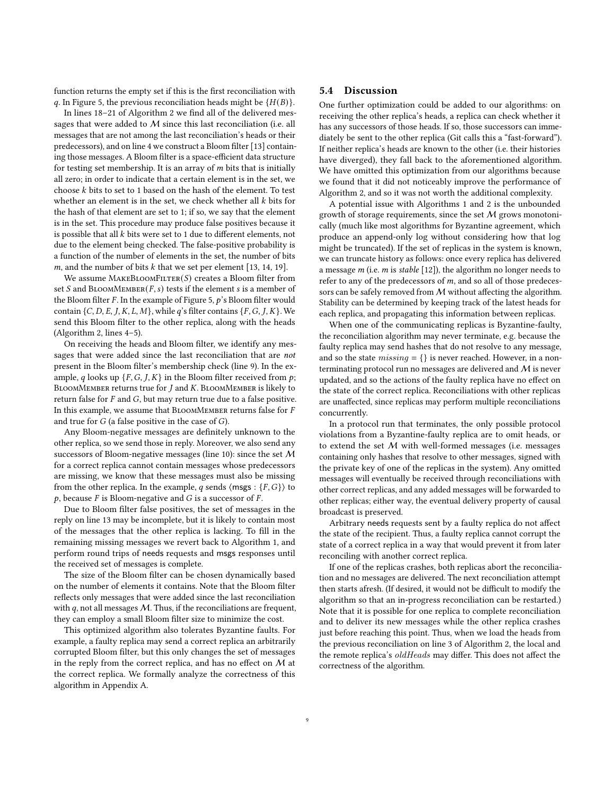function returns the empty set if this is the first reconciliation with q. In Figure [5,](#page-6-0) the previous reconciliation heads might be  ${H(B)}$ .

In lines [18–21](#page-6-2) of Algorithm [2](#page-7-1) we find all of the delivered messages that were added to  $M$  since this last reconciliation (i.e. all messages that are not among the last reconciliation's heads or their predecessors), and on line [4](#page-6-2) we construct a Bloom filter [\[13\]](#page-12-16) containing those messages. A Bloom filter is a space-efficient data structure for testing set membership. It is an array of  $m$  bits that is initially all zero; in order to indicate that a certain element is in the set, we choose  $k$  bits to set to 1 based on the hash of the element. To test whether an element is in the set, we check whether all  $k$  bits for the hash of that element are set to 1; if so, we say that the element is in the set. This procedure may produce false positives because it is possible that all  $k$  bits were set to 1 due to different elements, not due to the element being checked. The false-positive probability is a function of the number of elements in the set, the number of bits m, and the number of bits  $k$  that we set per element [\[13,](#page-12-16) [14,](#page-12-17) [19\]](#page-12-18).

We assume  $\text{MAKEBLOOMFILTER}(S)$  creates a Bloom filter from set S and BLOOMMEMBER $(F, s)$  tests if the element s is a member of the Bloom filter  $F$ . In the example of Figure [5,](#page-6-0)  $p$ 's Bloom filter would contain  $\{C, D, E, J, K, L, M\}$ , while q's filter contains  $\{F, G, J, K\}$ . We send this Bloom filter to the other replica, along with the heads (Algorithm [2,](#page-7-1) lines [4–5\)](#page-6-2).

On receiving the heads and Bloom filter, we identify any messages that were added since the last reconciliation that are not present in the Bloom filter's membership check (line [9\)](#page-6-2). In the example, q looks up  $\{F, G, J, K\}$  in the Bloom filter received from  $p$ ; BLOOMMEMBER returns true for  $J$  and  $K$ . BLOOMMEMBER is likely to return false for  $F$  and  $G$ , but may return true due to a false positive. In this example, we assume that BLOOMMEMBER returns false for  $F$ and true for  $G$  (a false positive in the case of  $G$ ).

Any Bloom-negative messages are definitely unknown to the other replica, so we send those in reply. Moreover, we also send any successors of Bloom-negative messages (line [10\)](#page-6-2): since the set M for a correct replica cannot contain messages whose predecessors are missing, we know that these messages must also be missing from the other replica. In the example, q sends  $\langle$  msgs : {F, G}} to  $p$ , because  $F$  is Bloom-negative and  $G$  is a successor of  $F$ .

Due to Bloom filter false positives, the set of messages in the reply on line [13](#page-6-2) may be incomplete, but it is likely to contain most of the messages that the other replica is lacking. To fill in the remaining missing messages we revert back to Algorithm [1,](#page-6-1) and perform round trips of needs requests and msgs responses until the received set of messages is complete.

The size of the Bloom filter can be chosen dynamically based on the number of elements it contains. Note that the Bloom filter reflects only messages that were added since the last reconciliation with  $q$ , not all messages  $M$ . Thus, if the reconciliations are frequent, they can employ a small Bloom filter size to minimize the cost.

This optimized algorithm also tolerates Byzantine faults. For example, a faulty replica may send a correct replica an arbitrarily corrupted Bloom filter, but this only changes the set of messages in the reply from the correct replica, and has no effect on  $M$  at the correct replica. We formally analyze the correctness of this algorithm in Appendix [A.](#page-13-16)

#### <span id="page-8-0"></span>5.4 Discussion

One further optimization could be added to our algorithms: on receiving the other replica's heads, a replica can check whether it has any successors of those heads. If so, those successors can immediately be sent to the other replica (Git calls this a "fast-forward"). If neither replica's heads are known to the other (i.e. their histories have diverged), they fall back to the aforementioned algorithm. We have omitted this optimization from our algorithms because we found that it did not noticeably improve the performance of Algorithm [2,](#page-7-1) and so it was not worth the additional complexity.

A potential issue with Algorithms [1](#page-6-1) and [2](#page-7-1) is the unbounded growth of storage requirements, since the set  $M$  grows monotonically (much like most algorithms for Byzantine agreement, which produce an append-only log without considering how that log might be truncated). If the set of replicas in the system is known, we can truncate history as follows: once every replica has delivered a message  $m$  (i.e.  $m$  is stable [\[12\]](#page-12-14)), the algorithm no longer needs to refer to any of the predecessors of  $m$ , and so all of those predecessors can be safely removed from M without affecting the algorithm. Stability can be determined by keeping track of the latest heads for each replica, and propagating this information between replicas.

When one of the communicating replicas is Byzantine-faulty, the reconciliation algorithm may never terminate, e.g. because the faulty replica may send hashes that do not resolve to any message, and so the state  $missing = \{\}$  is never reached. However, in a nonterminating protocol run no messages are delivered and M is never updated, and so the actions of the faulty replica have no effect on the state of the correct replica. Reconciliations with other replicas are unaffected, since replicas may perform multiple reconciliations concurrently.

In a protocol run that terminates, the only possible protocol violations from a Byzantine-faulty replica are to omit heads, or to extend the set  $M$  with well-formed messages (i.e. messages containing only hashes that resolve to other messages, signed with the private key of one of the replicas in the system). Any omitted messages will eventually be received through reconciliations with other correct replicas, and any added messages will be forwarded to other replicas; either way, the eventual delivery property of causal broadcast is preserved.

Arbitrary needs requests sent by a faulty replica do not affect the state of the recipient. Thus, a faulty replica cannot corrupt the state of a correct replica in a way that would prevent it from later reconciling with another correct replica.

If one of the replicas crashes, both replicas abort the reconciliation and no messages are delivered. The next reconciliation attempt then starts afresh. (If desired, it would not be difficult to modify the algorithm so that an in-progress reconciliation can be restarted.) Note that it is possible for one replica to complete reconciliation and to deliver its new messages while the other replica crashes just before reaching this point. Thus, when we load the heads from the previous reconciliation on line [3](#page-6-2) of Algorithm [2,](#page-7-1) the local and the remote replica's oldHeads may differ. This does not affect the correctness of the algorithm.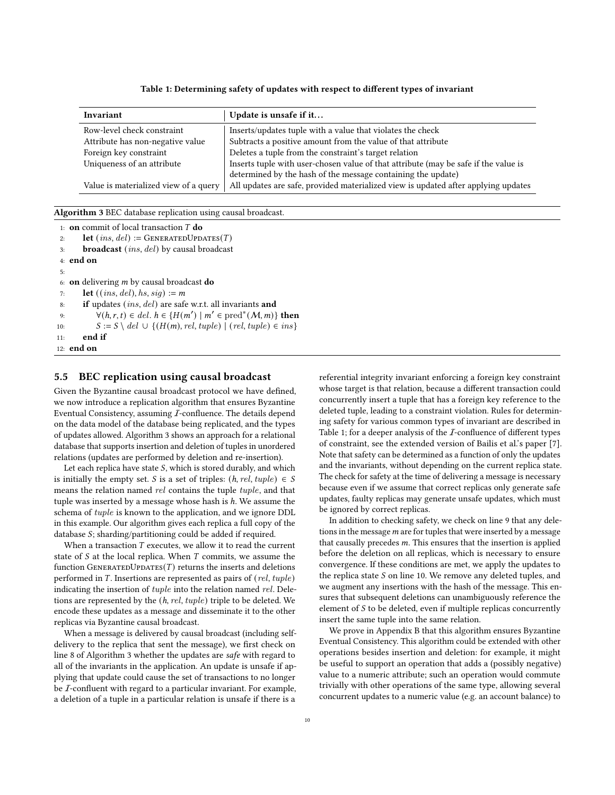#### Table 1: Determining safety of updates with respect to different types of invariant

<span id="page-9-2"></span>

| Invariant                             | Update is unsafe if it                                                              |
|---------------------------------------|-------------------------------------------------------------------------------------|
| Row-level check constraint            | Inserts/updates tuple with a value that violates the check                          |
| Attribute has non-negative value      | Subtracts a positive amount from the value of that attribute                        |
| Foreign key constraint                | Deletes a tuple from the constraint's target relation                               |
| Uniqueness of an attribute            | Inserts tuple with user-chosen value of that attribute (may be safe if the value is |
|                                       | determined by the hash of the message containing the update)                        |
| Value is materialized view of a query | All updates are safe, provided materialized view is updated after applying updates  |

<span id="page-9-1"></span>Algorithm 3 BEC database replication using causal broadcast.

```
1: on commit of local transaction T do
 2: let ins, del := GENERATEDUPDATES(T)
 3: broadcast (ins, del) by causal broadcast
 4: end on
 5:
 6: on delivering m by causal broadcast do
 7: let ((ins, del), hs, sig) := m8: if updates ins, del are safe w.r.t. all invariants and
 9: \forall (h, r, t) \in del. h \in \{H(m') \mid m' \in pred^*(M, m)\} then
10: S := S \ \text{del} \ \cup \ \{ (H(m), rel, tuple) \ | \ (rel, tuple) \in ins \}11: end if
12: end on
```
#### <span id="page-9-0"></span>5.5 BEC replication using causal broadcast

Given the Byzantine causal broadcast protocol we have defined, we now introduce a replication algorithm that ensures Byzantine Eventual Consistency, assuming I-confluence. The details depend on the data model of the database being replicated, and the types of updates allowed. Algorithm [3](#page-9-1) shows an approach for a relational database that supports insertion and deletion of tuples in unordered relations (updates are performed by deletion and re-insertion).

Let each replica have state  $S$ , which is stored durably, and which is initially the empty set. *S* is a set of triples:  $(h, rel, tuple) \in S$ means the relation named rel contains the tuple tuple, and that tuple was inserted by a message whose hash is ℎ. We assume the schema of tuple is known to the application, and we ignore DDL in this example. Our algorithm gives each replica a full copy of the database  $S$ ; sharding/partitioning could be added if required.

When a transaction  $T$  executes, we allow it to read the current state of  $S$  at the local replica. When  $T$  commits, we assume the function GENERATEDUPDATES $(T)$  returns the inserts and deletions performed in  $T$ . Insertions are represented as pairs of  $(\textit{rel}, \textit{tuple})$ indicating the insertion of tuple into the relation named rel. Deletions are represented by the (ℎ, rel, tuple) triple to be deleted. We encode these updates as a message and disseminate it to the other replicas via Byzantine causal broadcast.

When a message is delivered by causal broadcast (including selfdelivery to the replica that sent the message), we first check on line [8](#page-8-0) of Algorithm [3](#page-9-1) whether the updates are safe with regard to all of the invariants in the application. An update is unsafe if applying that update could cause the set of transactions to no longer be *I*-confluent with regard to a particular invariant. For example, a deletion of a tuple in a particular relation is unsafe if there is a

referential integrity invariant enforcing a foreign key constraint whose target is that relation, because a different transaction could concurrently insert a tuple that has a foreign key reference to the deleted tuple, leading to a constraint violation. Rules for determining safety for various common types of invariant are described in Table [1;](#page-9-2) for a deeper analysis of the *I*-confluence of different types of constraint, see the extended version of Bailis et al.'s paper [\[7\]](#page-12-19). Note that safety can be determined as a function of only the updates and the invariants, without depending on the current replica state. The check for safety at the time of delivering a message is necessary because even if we assume that correct replicas only generate safe updates, faulty replicas may generate unsafe updates, which must be ignored by correct replicas.

In addition to checking safety, we check on line [9](#page-8-0) that any deletions in the message  $m$  are for tuples that were inserted by a message that causally precedes  $m$ . This ensures that the insertion is applied before the deletion on all replicas, which is necessary to ensure convergence. If these conditions are met, we apply the updates to the replica state  $S$  on line [10.](#page-8-0) We remove any deleted tuples, and we augment any insertions with the hash of the message. This ensures that subsequent deletions can unambiguously reference the element of  $S$  to be deleted, even if multiple replicas concurrently insert the same tuple into the same relation.

We prove in Appendix [B](#page-15-0) that this algorithm ensures Byzantine Eventual Consistency. This algorithm could be extended with other operations besides insertion and deletion: for example, it might be useful to support an operation that adds a (possibly negative) value to a numeric attribute; such an operation would commute trivially with other operations of the same type, allowing several concurrent updates to a numeric value (e.g. an account balance) to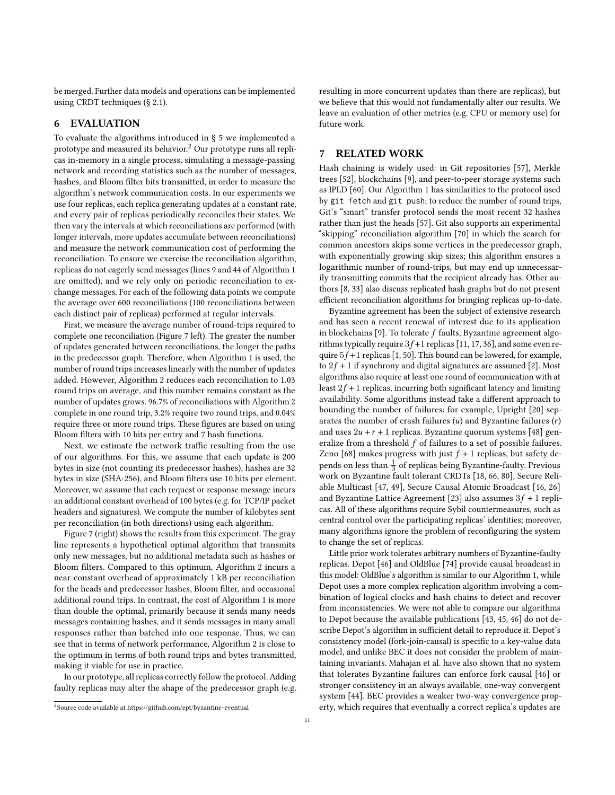be merged. Further data models and operations can be implemented using CRDT techniques (§ [2.1\)](#page-1-2).

## 6 EVALUATION

To evaluate the algorithms introduced in § [5](#page-4-0) we implemented a prototype and measured its behavior.<sup>[2](#page-10-1)</sup> Our prototype runs all replicas in-memory in a single process, simulating a message-passing network and recording statistics such as the number of messages, hashes, and Bloom filter bits transmitted, in order to measure the algorithm's network communication costs. In our experiments we use four replicas, each replica generating updates at a constant rate, and every pair of replicas periodically reconciles their states. We then vary the intervals at which reconciliations are performed (with longer intervals, more updates accumulate between reconciliations) and measure the network communication cost of performing the reconciliation. To ensure we exercise the reconciliation algorithm, replicas do not eagerly send messages (lines [9](#page-5-1) and [44](#page-5-1) of Algorithm [1](#page-6-1) are omitted), and we rely only on periodic reconciliation to exchange messages. For each of the following data points we compute the average over 600 reconciliations (100 reconciliations between each distinct pair of replicas) performed at regular intervals.

First, we measure the average number of round-trips required to complete one reconciliation (Figure [7](#page-11-0) left). The greater the number of updates generated between reconciliations, the longer the paths in the predecessor graph. Therefore, when Algorithm [1](#page-6-1) is used, the number of round trips increases linearly with the number of updates added. However, Algorithm [2](#page-7-1) reduces each reconciliation to 1.03 round trips on average, and this number remains constant as the number of updates grows. 96.7% of reconciliations with Algorithm [2](#page-7-1) complete in one round trip, 3.2% require two round trips, and 0.04% require three or more round trips. These figures are based on using Bloom filters with 10 bits per entry and 7 hash functions.

Next, we estimate the network traffic resulting from the use of our algorithms. For this, we assume that each update is 200 bytes in size (not counting its predecessor hashes), hashes are 32 bytes in size (SHA-256), and Bloom filters use 10 bits per element. Moreover, we assume that each request or response message incurs an additional constant overhead of 100 bytes (e.g. for TCP/IP packet headers and signatures). We compute the number of kilobytes sent per reconciliation (in both directions) using each algorithm.

Figure [7](#page-11-0) (right) shows the results from this experiment. The gray line represents a hypothetical optimal algorithm that transmits only new messages, but no additional metadata such as hashes or Bloom filters. Compared to this optimum, Algorithm [2](#page-7-1) incurs a near-constant overhead of approximately 1 kB per reconciliation for the heads and predecessor hashes, Bloom filter, and occasional additional round trips. In contrast, the cost of Algorithm [1](#page-6-1) is more than double the optimal, primarily because it sends many needs messages containing hashes, and it sends messages in many small responses rather than batched into one response. Thus, we can see that in terms of network performance, Algorithm [2](#page-7-1) is close to the optimum in terms of both round trips and bytes transmitted, making it viable for use in practice.

In our prototype, all replicas correctly follow the protocol. Adding faulty replicas may alter the shape of the predecessor graph (e.g. resulting in more concurrent updates than there are replicas), but we believe that this would not fundamentally alter our results. We leave an evaluation of other metrics (e.g. CPU or memory use) for future work.

# <span id="page-10-0"></span>7 RELATED WORK

Hash chaining is widely used: in Git repositories [\[57\]](#page-13-20), Merkle trees [\[52\]](#page-13-21), blockchains [\[9\]](#page-12-0), and peer-to-peer storage systems such as IPLD [\[60\]](#page-13-22). Our Algorithm [1](#page-6-1) has similarities to the protocol used by git fetch and git push; to reduce the number of round trips, Git's "smart" transfer protocol sends the most recent 32 hashes rather than just the heads [\[57\]](#page-13-20). Git also supports an experimental "skipping" reconciliation algorithm [\[70\]](#page-13-23) in which the search for common ancestors skips some vertices in the predecessor graph, with exponentially growing skip sizes; this algorithm ensures a logarithmic number of round-trips, but may end up unnecessarily transmitting commits that the recipient already has. Other authors [\[8,](#page-12-20) [33\]](#page-12-21) also discuss replicated hash graphs but do not present efficient reconciliation algorithms for bringing replicas up-to-date.

Byzantine agreement has been the subject of extensive research and has seen a recent renewal of interest due to its application in blockchains [\[9\]](#page-12-0). To tolerate  $f$  faults, Byzantine agreement algorithms typically require  $3f+1$  replicas [\[11,](#page-12-22) [17,](#page-12-2) [36\]](#page-12-23), and some even require  $5f+1$  replicas [\[1,](#page-12-24) [50\]](#page-13-24). This bound can be lowered, for example, to  $2f + 1$  if synchrony and digital signatures are assumed [\[2\]](#page-12-25). Most algorithms also require at least one round of communication with at least  $2f + 1$  replicas, incurring both significant latency and limiting availability. Some algorithms instead take a different approach to bounding the number of failures: for example, Upright [\[20\]](#page-12-26) separates the number of crash failures  $(u)$  and Byzantine failures  $(r)$ and uses  $2u + r + 1$  replicas. Byzantine quorum systems [\[48\]](#page-13-25) generalize from a threshold  $f$  of failures to a set of possible failures. Zeno [\[68\]](#page-13-26) makes progress with just  $f + 1$  replicas, but safety depends on less than  $\frac{1}{3}$  of replicas being Byzantine-faulty. Previous work on Byzantine fault tolerant CRDTs [\[18,](#page-12-27) [66,](#page-13-27) [80\]](#page-13-28), Secure Reliable Multicast [\[47,](#page-13-29) [49\]](#page-13-30), Secure Causal Atomic Broadcast [\[16,](#page-12-28) [26\]](#page-12-29) and Byzantine Lattice Agreement [\[23\]](#page-12-30) also assumes  $3f + 1$  replicas. All of these algorithms require Sybil countermeasures, such as central control over the participating replicas' identities; moreover, many algorithms ignore the problem of reconfiguring the system to change the set of replicas.

Little prior work tolerates arbitrary numbers of Byzantine-faulty replicas. Depot [\[46\]](#page-13-31) and OldBlue [\[74\]](#page-13-32) provide causal broadcast in this model: OldBlue's algorithm is similar to our Algorithm [1,](#page-6-1) while Depot uses a more complex replication algorithm involving a combination of logical clocks and hash chains to detect and recover from inconsistencies. We were not able to compare our algorithms to Depot because the available publications [\[43,](#page-12-31) [45,](#page-13-33) [46\]](#page-13-31) do not describe Depot's algorithm in sufficient detail to reproduce it. Depot's consistency model (fork-join-causal) is specific to a key-value data model, and unlike BEC it does not consider the problem of maintaining invariants. Mahajan et al. have also shown that no system that tolerates Byzantine failures can enforce fork causal [\[46\]](#page-13-31) or stronger consistency in an always available, one-way convergent system [\[44\]](#page-12-32). BEC provides a weaker two-way convergence property, which requires that eventually a correct replica's updates are

<span id="page-10-1"></span> $^{2}$ Source code available at<https://github.com/ept/byzantine-eventual>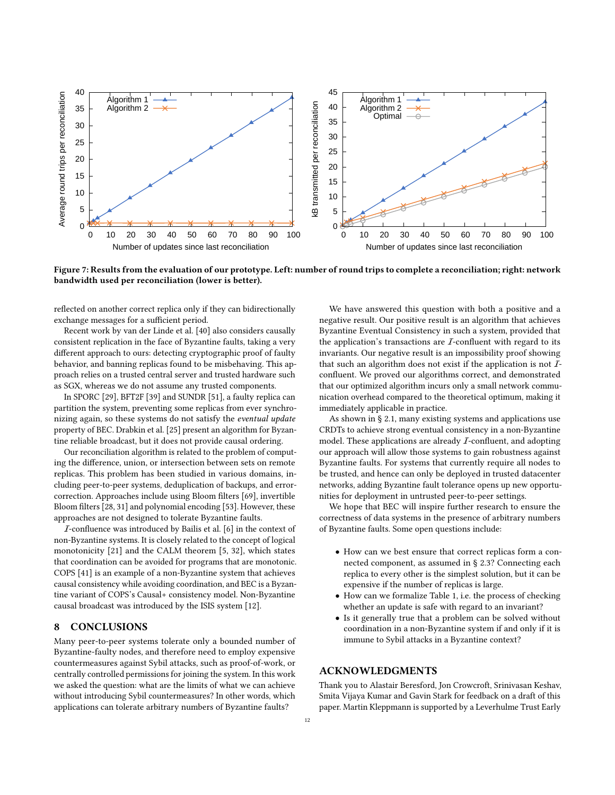<span id="page-11-0"></span>

Figure 7: Results from the evaluation of our prototype. Left: number of round trips to complete a reconciliation; right: network bandwidth used per reconciliation (lower is better).

reflected on another correct replica only if they can bidirectionally exchange messages for a sufficient period.

Recent work by van der Linde et al. [\[40\]](#page-12-33) also considers causally consistent replication in the face of Byzantine faults, taking a very different approach to ours: detecting cryptographic proof of faulty behavior, and banning replicas found to be misbehaving. This approach relies on a trusted central server and trusted hardware such as SGX, whereas we do not assume any trusted components.

In SPORC [\[29\]](#page-12-34), BFT2F [\[39\]](#page-12-35) and SUNDR [\[51\]](#page-13-34), a faulty replica can partition the system, preventing some replicas from ever synchronizing again, so these systems do not satisfy the eventual update property of BEC. Drabkin et al. [\[25\]](#page-12-36) present an algorithm for Byzantine reliable broadcast, but it does not provide causal ordering.

Our reconciliation algorithm is related to the problem of computing the difference, union, or intersection between sets on remote replicas. This problem has been studied in various domains, including peer-to-peer systems, deduplication of backups, and errorcorrection. Approaches include using Bloom filters [\[69\]](#page-13-35), invertible Bloom filters [\[28,](#page-12-37) [31\]](#page-12-38) and polynomial encoding [\[53\]](#page-13-36). However, these approaches are not designed to tolerate Byzantine faults.

I-confluence was introduced by Bailis et al. [\[6\]](#page-12-3) in the context of non-Byzantine systems. It is closely related to the concept of logical monotonicity [\[21\]](#page-12-39) and the CALM theorem [\[5,](#page-12-40) [32\]](#page-12-41), which states that coordination can be avoided for programs that are monotonic. COPS [\[41\]](#page-12-42) is an example of a non-Byzantine system that achieves causal consistency while avoiding coordination, and BEC is a Byzantine variant of COPS's Causal+ consistency model. Non-Byzantine causal broadcast was introduced by the ISIS system [\[12\]](#page-12-14).

## 8 CONCLUSIONS

Many peer-to-peer systems tolerate only a bounded number of Byzantine-faulty nodes, and therefore need to employ expensive countermeasures against Sybil attacks, such as proof-of-work, or centrally controlled permissions for joining the system. In this work we asked the question: what are the limits of what we can achieve without introducing Sybil countermeasures? In other words, which applications can tolerate arbitrary numbers of Byzantine faults?

We have answered this question with both a positive and a negative result. Our positive result is an algorithm that achieves Byzantine Eventual Consistency in such a system, provided that the application's transactions are  $I$ -confluent with regard to its invariants. Our negative result is an impossibility proof showing that such an algorithm does not exist if the application is not Iconfluent. We proved our algorithms correct, and demonstrated that our optimized algorithm incurs only a small network communication overhead compared to the theoretical optimum, making it immediately applicable in practice.

As shown in § [2.1,](#page-1-2) many existing systems and applications use CRDTs to achieve strong eventual consistency in a non-Byzantine model. These applications are already I-confluent, and adopting our approach will allow those systems to gain robustness against Byzantine faults. For systems that currently require all nodes to be trusted, and hence can only be deployed in trusted datacenter networks, adding Byzantine fault tolerance opens up new opportunities for deployment in untrusted peer-to-peer settings.

We hope that BEC will inspire further research to ensure the correctness of data systems in the presence of arbitrary numbers of Byzantine faults. Some open questions include:

- How can we best ensure that correct replicas form a connected component, as assumed in § [2.3?](#page-1-1) Connecting each replica to every other is the simplest solution, but it can be expensive if the number of replicas is large.
- How can we formalize Table [1,](#page-9-2) i.e. the process of checking whether an update is safe with regard to an invariant?
- Is it generally true that a problem can be solved without coordination in a non-Byzantine system if and only if it is immune to Sybil attacks in a Byzantine context?

# ACKNOWLEDGMENTS

Thank you to Alastair Beresford, Jon Crowcroft, Srinivasan Keshav, Smita Vijaya Kumar and Gavin Stark for feedback on a draft of this paper. Martin Kleppmann is supported by a Leverhulme Trust Early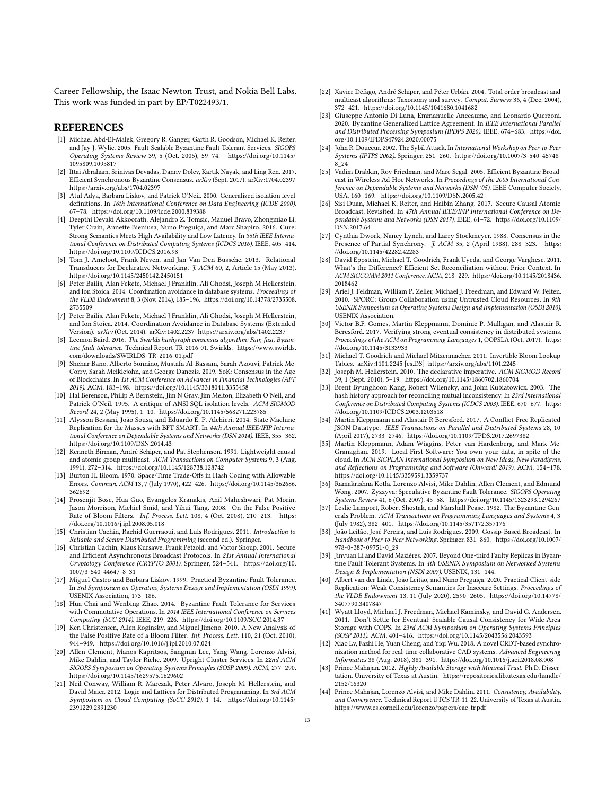Career Fellowship, the Isaac Newton Trust, and Nokia Bell Labs. This work was funded in part by EP/T022493/1.

#### REFERENCES

- <span id="page-12-24"></span>[1] Michael Abd-El-Malek, Gregory R. Ganger, Garth R. Goodson, Michael K. Reiter, and Jay J. Wylie. 2005. Fault-Scalable Byzantine Fault-Tolerant Services. SIGOPS Operating Systems Review 39, 5 (Oct. 2005), 59–74. [https://doi.org/10.1145/](https://doi.org/10.1145/1095809.1095817) [1095809.1095817](https://doi.org/10.1145/1095809.1095817)
- <span id="page-12-25"></span>[2] Ittai Abraham, Srinivas Devadas, Danny Dolev, Kartik Nayak, and Ling Ren. 2017. Efficient Synchronous Byzantine Consensus. arXiv (Sept. 2017). arXiv[:1704.02397](https://arxiv.org/abs/1704.02397) <https://arxiv.org/abs/1704.02397>
- <span id="page-12-10"></span>[3] Atul Adya, Barbara Liskov, and Patrick O'Neil. 2000. Generalized isolation level definitions. In 16th International Conference on Data Engineering (ICDE 2000). 67–78.<https://doi.org/10.1109/icde.2000.839388>
- <span id="page-12-5"></span>[4] Deepthi Devaki Akkoorath, Alejandro Z. Tomsic, Manuel Bravo, Zhongmiao Li, Tyler Crain, Annette Bieniusa, Nuno Preguiça, and Marc Shapiro. 2016. Cure: Strong Semantics Meets High Availability and Low Latency. In 36th IEEE International Conference on Distributed Computing Systems (ICDCS 2016). IEEE, 405–414. <https://doi.org/10.1109/ICDCS.2016.98>
- <span id="page-12-40"></span>[5] Tom J. Ameloot, Frank Neven, and Jan Van Den Bussche. 2013. Relational Transducers for Declarative Networking. J. ACM 60, 2, Article 15 (May 2013). <https://doi.org/10.1145/2450142.2450151>
- <span id="page-12-3"></span>[6] Peter Bailis, Alan Fekete, Michael J Franklin, Ali Ghodsi, Joseph M Hellerstein, and Ion Stoica. 2014. Coordination avoidance in database systems. Proceedings of the VLDB Endowment 8, 3 (Nov. 2014), 185–196. [https://doi.org/10.14778/2735508.](https://doi.org/10.14778/2735508.2735509) [2735509](https://doi.org/10.14778/2735508.2735509)
- <span id="page-12-19"></span>[7] Peter Bailis, Alan Fekete, Michael J Franklin, Ali Ghodsi, Joseph M Hellerstein, and Ion Stoica. 2014. Coordination Avoidance in Database Systems (Extended Version). arXiv (Oct. 2014). arXiv[:1402.2237 https://arxiv.org/abs/1402.2237](https://arxiv.org/abs/1402.2237)
- <span id="page-12-20"></span>[8] Leemon Baird. 2016. The Swirlds hashgraph consensus algorithm: Fair, fast, Byzantine fault tolerance. Technical Report TR-2016-01. Swirlds. [https://www.swirlds.](https://www.swirlds.com/downloads/SWIRLDS-TR-2016-01.pdf) [com/downloads/SWIRLDS-TR-2016-01.pdf](https://www.swirlds.com/downloads/SWIRLDS-TR-2016-01.pdf)
- <span id="page-12-0"></span>[9] Shehar Bano, Alberto Sonnino, Mustafa Al-Bassam, Sarah Azouvi, Patrick Mc-Corry, Sarah Meiklejohn, and George Danezis. 2019. SoK: Consensus in the Age of Blockchains. In 1st ACM Conference on Advances in Financial Technologies (AFT 2019). ACM, 183–198.<https://doi.org/10.1145/3318041.3355458>
- <span id="page-12-15"></span>[10] Hal Berenson, Philip A Bernstein, Jim N Gray, Jim Melton, Elizabeth O'Neil, and Patrick O'Neil. 1995. A critique of ANSI SQL isolation levels. ACM SIGMOD Record 24, 2 (May 1995), 1–10.<https://doi.org/10.1145/568271.223785>
- <span id="page-12-22"></span>[11] Alysson Bessani, João Sousa, and Eduardo E. P. Alchieri. 2014. State Machine Replication for the Masses with BFT-SMART. In 44th Annual IEEE/IFIP International Conference on Dependable Systems and Networks (DSN 2014). IEEE, 355–362. <https://doi.org/10.1109/DSN.2014.43>
- <span id="page-12-14"></span>[12] Kenneth Birman, André Schiper, and Pat Stephenson. 1991. Lightweight causal and atomic group multicast. ACM Transactions on Computer Systems 9, 3 (Aug. 1991), 272–314.<https://doi.org/10.1145/128738.128742>
- <span id="page-12-16"></span>[13] Burton H. Bloom. 1970. Space/Time Trade-Offs in Hash Coding with Allowable Errors. Commun. ACM 13, 7 (July 1970), 422–426. [https://doi.org/10.1145/362686.](https://doi.org/10.1145/362686.362692) [362692](https://doi.org/10.1145/362686.362692)
- <span id="page-12-17"></span>[14] Prosenjit Bose, Hua Guo, Evangelos Kranakis, Anil Maheshwari, Pat Morin, Jason Morrison, Michiel Smid, and Yihui Tang. 2008. On the False-Positive Rate of Bloom Filters. Inf. Process. Lett. 108, 4 (Oct. 2008), 210-213. [https:](https://doi.org/10.1016/j.ipl.2008.05.018) [//doi.org/10.1016/j.ipl.2008.05.018](https://doi.org/10.1016/j.ipl.2008.05.018)
- <span id="page-12-12"></span>[15] Christian Cachin, Rachid Guerraoui, and Luís Rodrigues. 2011. Introduction to Reliable and Secure Distributed Programming (second ed.). Springer.
- <span id="page-12-28"></span>[16] Christian Cachin, Klaus Kursawe, Frank Petzold, and Victor Shoup. 2001. Secure and Efficient Asynchronous Broadcast Protocols. In 21st Annual International Cryptology Conference (CRYPTO 2001). Springer, 524–541. [https://doi.org/10.](https://doi.org/10.1007/3-540-44647-8_31) [1007/3-540-44647-8\\_31](https://doi.org/10.1007/3-540-44647-8_31)
- <span id="page-12-2"></span>[17] Miguel Castro and Barbara Liskov. 1999. Practical Byzantine Fault Tolerance. In 3rd Symposium on Operating Systems Design and Implementation (OSDI 1999). USENIX Association, 173–186.
- <span id="page-12-27"></span>[18] Hua Chai and Wenbing Zhao. 2014. Byzantine Fault Tolerance for Services with Commutative Operations. In 2014 IEEE International Conference on Services Computing (SCC 2014). IEEE, 219–226.<https://doi.org/10.1109/SCC.2014.37>
- <span id="page-12-18"></span>[19] Ken Christensen, Allen Roginsky, and Miguel Jimeno. 2010. A New Analysis of the False Positive Rate of a Bloom Filter. Inf. Process. Lett. 110, 21 (Oct. 2010), 944–949.<https://doi.org/10.1016/j.ipl.2010.07.024>
- <span id="page-12-26"></span>[20] Allen Clement, Manos Kapritsos, Sangmin Lee, Yang Wang, Lorenzo Alvisi, Mike Dahlin, and Taylor Riche. 2009. Upright Cluster Services. In 22nd ACM SIGOPS Symposium on Operating Systems Principles (SOSP 2009). ACM, 277–290. <https://doi.org/10.1145/1629575.1629602>
- <span id="page-12-39"></span>[21] Neil Conway, William R. Marczak, Peter Alvaro, Joseph M. Hellerstein, and David Maier. 2012. Logic and Lattices for Distributed Programming. In 3rd ACM Symposium on Cloud Computing (SoCC 2012). 1–14. [https://doi.org/10.1145/](https://doi.org/10.1145/2391229.2391230) [2391229.2391230](https://doi.org/10.1145/2391229.2391230)
- <span id="page-12-13"></span>[22] Xavier Défago, André Schiper, and Péter Urbán. 2004. Total order broadcast and multicast algorithms: Taxonomy and survey. Comput. Surveys 36, 4 (Dec. 2004), 372–421.<https://doi.org/10.1145/1041680.1041682>
- <span id="page-12-30"></span>[23] Giuseppe Antonio Di Luna, Emmanuelle Anceaume, and Leonardo Querzoni. 2020. Byzantine Generalized Lattice Agreement. In IEEE International Parallel and Distributed Processing Symposium (IPDPS 2020). IEEE, 674–683. [https://doi.](https://doi.org/10.1109/IPDPS47924.2020.00075) [org/10.1109/IPDPS47924.2020.00075](https://doi.org/10.1109/IPDPS47924.2020.00075)
- <span id="page-12-1"></span>[24] John R. Douceur. 2002. The Sybil Attack. In International Workshop on Peer-to-Peer .<br>*Systems (IPTPS 2002).* Springer, 251–260. [https://doi.org/10.1007/3-540-45748-](https://doi.org/10.1007/3-540-45748-8_24)<br>[8\\_24](https://doi.org/10.1007/3-540-45748-8_24)
- <span id="page-12-36"></span>[25] Vadim Drabkin, Roy Friedman, and Marc Segal. 2005. Efficient Byzantine Broadcast in Wireless Ad-Hoc Networks. In Proceedings of the 2005 International Conference on Dependable Systems and Networks (DSN '05). IEEE Computer Society, USA, 160–169.<https://doi.org/10.1109/DSN.2005.42>
- <span id="page-12-29"></span>[26] Sisi Duan, Michael K. Reiter, and Haibin Zhang. 2017. Secure Causal Atomic Broadcast, Revisited. In 47th Annual IEEE/IFIP International Conference on Dependable Systems and Networks (DSN 2017). IEEE, 61–72. [https://doi.org/10.1109/](https://doi.org/10.1109/DSN.2017.64) [DSN.2017.64](https://doi.org/10.1109/DSN.2017.64)
- <span id="page-12-11"></span>[27] Cynthia Dwork, Nancy Lynch, and Larry Stockmeyer. 1988. Consensus in the Presence of Partial Synchrony. J. ACM 35, 2 (April 1988), 288-323. [https:](https://doi.org/10.1145/42282.42283) [//doi.org/10.1145/42282.42283](https://doi.org/10.1145/42282.42283)
- <span id="page-12-37"></span>[28] David Eppstein, Michael T. Goodrich, Frank Uyeda, and George Varghese. 2011. What's the Difference? Efficient Set Reconciliation without Prior Context. In ACM SIGCOMM 2011 Conference. ACM, 218–229. [https://doi.org/10.1145/2018436.](https://doi.org/10.1145/2018436.2018462) [2018462](https://doi.org/10.1145/2018436.2018462)
- <span id="page-12-34"></span>[29] Ariel J. Feldman, William P. Zeller, Michael J. Freedman, and Edward W. Felten. 2010. SPORC: Group Collaboration using Untrusted Cloud Resources. In 9th USENIX Symposium on Operating Systems Design and Implementation (OSDI 2010). USENIX Association.
- <span id="page-12-43"></span>[30] Victor B.F. Gomes, Martin Kleppmann, Dominic P. Mulligan, and Alastair R. Beresford. 2017. Verifying strong eventual consistency in distributed systems. Proceedings of the ACM on Programming Languages 1, OOPSLA (Oct. 2017). [https:](https://doi.org/10.1145/3133933) [//doi.org/10.1145/3133933](https://doi.org/10.1145/3133933)
- <span id="page-12-38"></span>[31] Michael T. Goodrich and Michael Mitzenmacher. 2011. Invertible Bloom Lookup Tables. arXiv[:1101.2245](https://arxiv.org/abs/1101.2245) [cs.DS]<https://arxiv.org/abs/1101.2245>
- <span id="page-12-41"></span>[32] Joseph M. Hellerstein. 2010. The declarative imperative. ACM SIGMOD Record 39, 1 (Sept. 2010), 5–19.<https://doi.org/10.1145/1860702.1860704>
- <span id="page-12-21"></span>[33] Brent Byunghoon Kang, Robert Wilensky, and John Kubiatowicz. 2003. The hash history approach for reconciling mutual inconsistency. In 23rd International Conference on Distributed Computing Systems (ICDCS 2003). IEEE, 670–677. [https:](https://doi.org/10.1109/ICDCS.2003.1203518) [//doi.org/10.1109/ICDCS.2003.1203518](https://doi.org/10.1109/ICDCS.2003.1203518)
- <span id="page-12-8"></span>[34] Martin Kleppmann and Alastair R Beresford. 2017. A Conflict-Free Replicated JSON Datatype. IEEE Transactions on Parallel and Distributed Systems 28, 10 (April 2017), 2733–2746.<https://doi.org/10.1109/TPDS.2017.2697382>
- <span id="page-12-7"></span>[35] Martin Kleppmann, Adam Wiggins, Peter van Hardenberg, and Mark Mc-Granaghan. 2019. Local-First Software: You own your data, in spite of the cloud. In ACM SIGPLAN International Symposium on New Ideas, New Paradigms, and Reflections on Programming and Software (Onward! 2019). ACM, 154–178. <https://doi.org/10.1145/3359591.3359737>
- <span id="page-12-23"></span>[36] Ramakrishna Kotla, Lorenzo Alvisi, Mike Dahlin, Allen Clement, and Edmund Wong. 2007. Zyzzyva: Speculative Byzantine Fault Tolerance. SIGOPS Operating Systems Review 41, 6 (Oct. 2007), 45–58.<https://doi.org/10.1145/1323293.1294267>
- <span id="page-12-9"></span>[37] Leslie Lamport, Robert Shostak, and Marshall Pease. 1982. The Byzantine Generals Problem. ACM Transactions on Programming Languages and Systems 4, 3 (July 1982), 382–401.<https://doi.org/10.1145/357172.357176>
- <span id="page-12-4"></span>[38] João Leitão, José Pereira, and Luís Rodrigues. 2009. Gossip-Based Broadcast. In Handbook of Peer-to-Peer Networking. Springer, 831–860. [https://doi.org/10.1007/](https://doi.org/10.1007/978-0-387-09751-0_29) [978-0-387-09751-0\\_29](https://doi.org/10.1007/978-0-387-09751-0_29)
- <span id="page-12-35"></span>[39] Jinyuan Li and David Mazières. 2007. Beyond One-third Faulty Replicas in Byzantine Fault Tolerant Systems. In 4th USENIX Symposium on Networked Systems Design & Implementation (NSDI 2007). USENIX, 131–144.
- <span id="page-12-33"></span>[40] Albert van der Linde, João Leitão, and Nuno Preguiça. 2020. Practical Client-side Replication: Weak Consistency Semantics for Insecure Settings. Proceedings of the VLDB Endowment 13, 11 (July 2020), 2590–2605. [https://doi.org/10.14778/](https://doi.org/10.14778/3407790.3407847) [3407790.3407847](https://doi.org/10.14778/3407790.3407847)
- <span id="page-12-42"></span>[41] Wyatt Lloyd, Michael J. Freedman, Michael Kaminsky, and David G. Andersen. 2011. Don't Settle for Eventual: Scalable Causal Consistency for Wide-Area Storage with COPS. In 23rd ACM Symposium on Operating Systems Principles (SOSP 2011). ACM, 401–416.<https://doi.org/10.1145/2043556.2043593>
- <span id="page-12-6"></span>[42] Xiao Lv, Fazhi He, Yuan Cheng, and Yiqi Wu. 2018. A novel CRDT-based synchronization method for real-time collaborative CAD systems. Advanced Engineering Informatics 38 (Aug. 2018), 381–391.<https://doi.org/10.1016/j.aei.2018.08.008>
- <span id="page-12-31"></span>[43] Prince Mahajan. 2012. Highly Available Storage with Minimal Trust. Ph.D. Dissertation. University of Texas at Austin. [https://repositories.lib.utexas.edu/handle/](https://repositories.lib.utexas.edu/handle/2152/16320) [2152/16320](https://repositories.lib.utexas.edu/handle/2152/16320)
- <span id="page-12-32"></span>[44] Prince Mahajan, Lorenzo Alvisi, and Mike Dahlin. 2011. Consistency, Availability, and Convergence. Technical Report UTCS TR-11-22. University of Texas at Austin. <https://www.cs.cornell.edu/lorenzo/papers/cac-tr.pdf>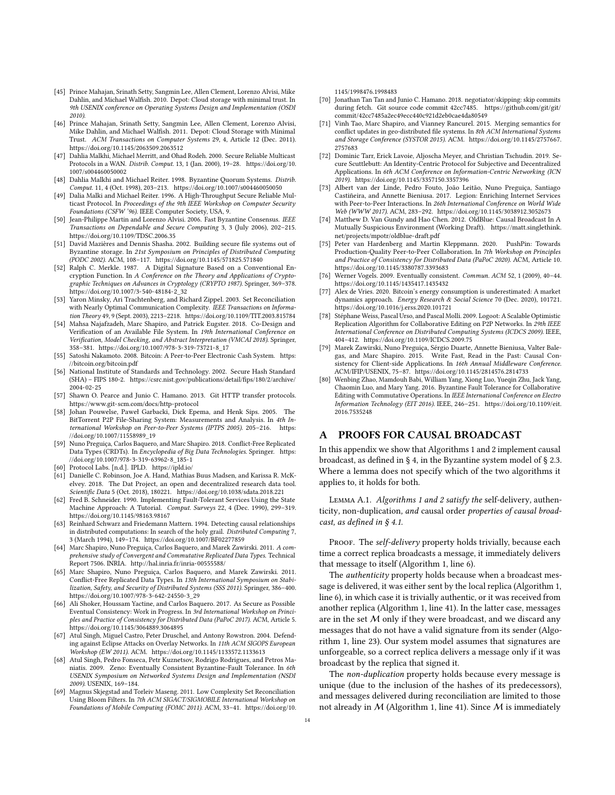- <span id="page-13-33"></span>[45] Prince Mahajan, Srinath Setty, Sangmin Lee, Allen Clement, Lorenzo Alvisi, Mike Dahlin, and Michael Walfish. 2010. Depot: Cloud storage with minimal trust. In 9th USENIX conference on Operating Systems Design and Implementation (OSDI 2010).
- <span id="page-13-31"></span>[46] Prince Mahajan, Srinath Setty, Sangmin Lee, Allen Clement, Lorenzo Alvisi, Mike Dahlin, and Michael Walfish. 2011. Depot: Cloud Storage with Minimal Trust. ACM Transactions on Computer Systems 29, 4, Article 12 (Dec. 2011). <https://doi.org/10.1145/2063509.2063512>
- <span id="page-13-29"></span>[47] Dahlia Malkhi, Michael Merritt, and Ohad Rodeh. 2000. Secure Reliable Multicast Protocols in a WAN. Distrib. Comput. 13, 1 (Jan. 2000), 19–28. [https://doi.org/10.](https://doi.org/10.1007/s004460050002) [1007/s004460050002](https://doi.org/10.1007/s004460050002)
- <span id="page-13-25"></span>[48] Dahlia Malkhi and Michael Reiter. 1998. Byzantine Quorum Systems. Distrib. Comput. 11, 4 (Oct. 1998), 203–213.<https://doi.org/10.1007/s004460050050>
- <span id="page-13-30"></span>[49] Dalia Malki and Michael Reiter. 1996. A High-Throughput Secure Reliable Multicast Protocol. In Proceedings of the 9th IEEE Workshop on Computer Security Foundations (CSFW '96). IEEE Computer Society, USA, 9.
- <span id="page-13-24"></span>[50] Jean-Philippe Martin and Lorenzo Alvisi. 2006. Fast Byzantine Consensus. IEEE Transactions on Dependable and Secure Computing 3, 3 (July 2006), 202–215. <https://doi.org/10.1109/TDSC.2006.35>
- <span id="page-13-34"></span>[51] David Mazières and Dennis Shasha. 2002. Building secure file systems out of Byzantine storage. In 21st Symposium on Principles of Distributed Computing (PODC 2002). ACM, 108–117.<https://doi.org/10.1145/571825.571840>
- <span id="page-13-21"></span>[52] Ralph C. Merkle. 1987. A Digital Signature Based on a Conventional Encryption Function. In A Conference on the Theory and Applications of Cryptographic Techniques on Advances in Cryptology (CRYPTO 1987). Springer, 369–378. [https://doi.org/10.1007/3-540-48184-2\\_32](https://doi.org/10.1007/3-540-48184-2_32)
- <span id="page-13-36"></span>[53] Yaron Minsky, Ari Trachtenberg, and Richard Zippel. 2003. Set Reconciliation with Nearly Optimal Communication Complexity. IEEE Transactions on Information Theory 49, 9 (Sept. 2003), 2213–2218.<https://doi.org/10.1109/TIT.2003.815784>
- <span id="page-13-11"></span>[54] Mahsa Najafzadeh, Marc Shapiro, and Patrick Eugster. 2018. Co-Design and Verification of an Available File System. In 19th International Conference on Verification, Model Checking, and Abstract Interpretation (VMCAI 2018). Springer, 358–381. [https://doi.org/10.1007/978-3-319-73721-8\\_17](https://doi.org/10.1007/978-3-319-73721-8_17)
- <span id="page-13-3"></span>[55] Satoshi Nakamoto. 2008. Bitcoin: A Peer-to-Peer Electronic Cash System. [https:](https://bitcoin.org/bitcoin.pdf) [//bitcoin.org/bitcoin.pdf](https://bitcoin.org/bitcoin.pdf)
- <span id="page-13-19"></span>[56] National Institute of Standards and Technology. 2002. Secure Hash Standard (SHA) – FIPS 180-2. [https://csrc.nist.gov/publications/detail/fips/180/2/archive/](https://csrc.nist.gov/publications/detail/fips/180/2/archive/2004-02-25) [2004-02-25](https://csrc.nist.gov/publications/detail/fips/180/2/archive/2004-02-25)
- <span id="page-13-20"></span>[57] Shawn O. Pearce and Junio C. Hamano. 2013. Git HTTP transfer protocols. <https://www.git-scm.com/docs/http-protocol>
- <span id="page-13-0"></span>[58] Johan Pouwelse, Paweł Garbacki, Dick Epema, and Henk Sips. 2005. The BitTorrent P2P File-Sharing System: Measurements and Analysis. In 4th International Workshop on Peer-to-Peer Systems (IPTPS 2005). 205–216. [https:](https://doi.org/10.1007/11558989_19) [//doi.org/10.1007/11558989\\_19](https://doi.org/10.1007/11558989_19)
- <span id="page-13-13"></span>[59] Nuno Preguiça, Carlos Baquero, and Marc Shapiro. 2018. Conflict-Free Replicated Data Types (CRDTs). In Encyclopedia of Big Data Technologies. Springer. [https:](https://doi.org/10.1007/978-3-319-63962-8_185-1) [//doi.org/10.1007/978-3-319-63962-8\\_185-1](https://doi.org/10.1007/978-3-319-63962-8_185-1)
- <span id="page-13-22"></span>[60] Protocol Labs. [n.d.]. IPLD.<https://ipld.io/>
- <span id="page-13-1"></span>[61] Danielle C. Robinson, Joe A. Hand, Mathias Buus Madsen, and Karissa R. McKelvey. 2018. The Dat Project, an open and decentralized research data tool. Scientific Data 5 (Oct. 2018), 180221.<https://doi.org/10.1038/sdata.2018.221>
- <span id="page-13-17"></span>[62] Fred B. Schneider. 1990. Implementing Fault-Tolerant Services Using the State Machine Approach: A Tutorial. Comput. Surveys 22, 4 (Dec. 1990), 299–319. <https://doi.org/10.1145/98163.98167>
- <span id="page-13-18"></span>[63] Reinhard Schwarz and Friedemann Mattern. 1994. Detecting causal relationships in distributed computations: In search of the holy grail. Distributed Computing 7, 3 (March 1994), 149–174.<https://doi.org/10.1007/BF02277859>
- <span id="page-13-14"></span>[64] Marc Shapiro, Nuno Preguiça, Carlos Baquero, and Marek Zawirski. 2011. A comprehensive study of Convergent and Commutative Replicated Data Types. Technical Report 7506. INRIA.<http://hal.inria.fr/inria-00555588/>
- <span id="page-13-6"></span>[65] Marc Shapiro, Nuno Preguiça, Carlos Baquero, and Marek Zawirski. 2011. Conflict-Free Replicated Data Types. In 13th International Symposium on Stabilization, Safety, and Security of Distributed Systems (SSS 2011). Springer, 386–400. [https://doi.org/10.1007/978-3-642-24550-3\\_29](https://doi.org/10.1007/978-3-642-24550-3_29)
- <span id="page-13-27"></span>[66] Ali Shoker, Houssam Yactine, and Carlos Baquero. 2017. As Secure as Possible Eventual Consistency: Work in Progress. In 3rd International Workshop on Principles and Practice of Consistency for Distributed Data (PaPoC 2017). ACM, Article 5. <https://doi.org/10.1145/3064889.3064895>
- <span id="page-13-15"></span>[67] Atul Singh, Miguel Castro, Peter Druschel, and Antony Rowstron. 2004. Defending against Eclipse Attacks on Overlay Networks. In 11th ACM SIGOPS European Workshop (EW 2011). ACM.<https://doi.org/10.1145/1133572.1133613>
- <span id="page-13-26"></span>[68] Atul Singh, Pedro Fonseca, Petr Kuznetsov, Rodrigo Rodrigues, and Petros Maniatis. 2009. Zeno: Eventually Consistent Byzantine-Fault Tolerance. In 6th USENIX Symposium on Networked Systems Design and Implementation (NSDI 2009). USENIX, 169–184.
- <span id="page-13-35"></span>[69] Magnus Skjegstad and Torleiv Maseng. 2011. Low Complexity Set Reconciliation Using Bloom Filters. In 7th ACM SIGACT/SIGMOBILE International Workshop on Foundations of Mobile Computing (FOMC 2011). ACM, 33–41. [https://doi.org/10.](https://doi.org/10.1145/1998476.1998483)

[1145/1998476.1998483](https://doi.org/10.1145/1998476.1998483)

- <span id="page-13-23"></span>[70] Jonathan Tan Tan and Junio C. Hamano. 2018. negotiator/skipping: skip commits during fetch. Git source code commit 42cc7485. [https://github.com/git/git/](https://github.com/git/git/commit/42cc7485a2ec49ecc440c921d2eb0cae4da80549) [commit/42cc7485a2ec49ecc440c921d2eb0cae4da80549](https://github.com/git/git/commit/42cc7485a2ec49ecc440c921d2eb0cae4da80549)
- <span id="page-13-12"></span>[71] Vinh Tao, Marc Shapiro, and Vianney Rancurel. 2015. Merging semantics for conflict updates in geo-distributed file systems. In 8th ACM International Systems and Storage Conference (SYSTOR 2015). ACM. [https://doi.org/10.1145/2757667.](https://doi.org/10.1145/2757667.2757683) [2757683](https://doi.org/10.1145/2757667.2757683)
- <span id="page-13-2"></span>[72] Dominic Tarr, Erick Lavoie, Aljoscha Meyer, and Christian Tschudin. 2019. Secure Scuttlebutt: An Identity-Centric Protocol for Subjective and Decentralized Applications. In 6th ACM Conference on Information-Centric Networking (ICN 2019).<https://doi.org/10.1145/3357150.3357396>
- <span id="page-13-10"></span>[73] Albert van der Linde, Pedro Fouto, João Leitão, Nuno Preguiça, Santiago Castiñeira, and Annette Bieniusa. 2017. Legion: Enriching Internet Services with Peer-to-Peer Interactions. In 26th International Conference on World Wide Web (WWW 2017). ACM, 283–292.<https://doi.org/10.1145/3038912.3052673>
- <span id="page-13-32"></span>[74] Matthew D. Van Gundy and Hao Chen. 2012. OldBlue: Causal Broadcast In A Mutually Suspicious Environment (Working Draft). [https://matt.singlethink.](https://matt.singlethink.net/projects/mpotr/oldblue-draft.pdf) [net/projects/mpotr/oldblue-draft.pdf](https://matt.singlethink.net/projects/mpotr/oldblue-draft.pdf)
- <span id="page-13-9"></span>[75] Peter van Hardenberg and Martin Kleppmann. 2020. PushPin: Towards Production-Quality Peer-to-Peer Collaboration. In 7th Workshop on Principles and Practice of Consistency for Distributed Data (PaPoC 2020). ACM, Article 10. <https://doi.org/10.1145/3380787.3393683>
- <span id="page-13-5"></span>[76] Werner Vogels. 2009. Eventually consistent. Commun. ACM 52, 1 (2009), 40–44. <https://doi.org/10.1145/1435417.1435432>
- <span id="page-13-4"></span>[77] Alex de Vries. 2020. Bitcoin's energy consumption is underestimated: A market dynamics approach. Energy Research & Social Science 70 (Dec. 2020), 101721. <https://doi.org/10.1016/j.erss.2020.101721>
- <span id="page-13-8"></span>[78] Stéphane Weiss, Pascal Urso, and Pascal Molli. 2009. Logoot: A Scalable Optimistic Replication Algorithm for Collaborative Editing on P2P Networks. In 29th IEEE International Conference on Distributed Computing Systems (ICDCS 2009). IEEE, 404–412.<https://doi.org/10.1109/ICDCS.2009.75>
- <span id="page-13-7"></span>[79] Marek Zawirski, Nuno Preguiça, Sérgio Duarte, Annette Bieniusa, Valter Balegas, and Marc Shapiro. 2015. Write Fast, Read in the Past: Causal Consistency for Client-side Applications. In 16th Annual Middleware Conference. ACM/IFIP/USENIX, 75–87.<https://doi.org/10.1145/2814576.2814733>
- <span id="page-13-28"></span>[80] Wenbing Zhao, Mamdouh Babi, William Yang, Xiong Luo, Yueqin Zhu, Jack Yang, Chaomin Luo, and Mary Yang. 2016. Byzantine Fault Tolerance for Collaborative Editing with Commutative Operations. In IEEE International Conference on Electro Information Technology (EIT 2016). IEEE, 246–251. [https://doi.org/10.1109/eit.](https://doi.org/10.1109/eit.2016.7535248) [2016.7535248](https://doi.org/10.1109/eit.2016.7535248)

# <span id="page-13-16"></span>A PROOFS FOR CAUSAL BROADCAST

In this appendix we show that Algorithms [1](#page-6-1) and [2](#page-7-1) implement causal broadcast, as defined in § [4,](#page-3-0) in the Byzantine system model of § [2.3.](#page-1-1) Where a lemma does not specify which of the two algorithms it applies to, it holds for both.

<span id="page-13-37"></span>Lemma A.1. Algorithms [1](#page-6-1) and [2](#page-7-1) satisfy the self-delivery, authenticity, non-duplication, and causal order properties of causal broadcast, as defined in § [4.1.](#page-3-1)

PROOF. The self-delivery property holds trivially, because each time a correct replica broadcasts a message, it immediately delivers that message to itself (Algorithm [1,](#page-6-1) line [6\)](#page-5-1).

The authenticity property holds because when a broadcast message is delivered, it was either sent by the local replica (Algorithm [1,](#page-6-1) line [6\)](#page-5-1), in which case it is trivially authentic, or it was received from another replica (Algorithm [1,](#page-6-1) line [41\)](#page-5-1). In the latter case, messages are in the set  $M$  only if they were broadcast, and we discard any messages that do not have a valid signature from its sender (Algorithm [1,](#page-6-1) line [23\)](#page-5-1). Our system model assumes that signatures are unforgeable, so a correct replica delivers a message only if it was broadcast by the replica that signed it.

The non-duplication property holds because every message is unique (due to the inclusion of the hashes of its predecessors), and messages delivered during reconciliation are limited to those not already in  $M$  (Algorithm [1,](#page-6-1) line [41\)](#page-5-1). Since  $M$  is immediately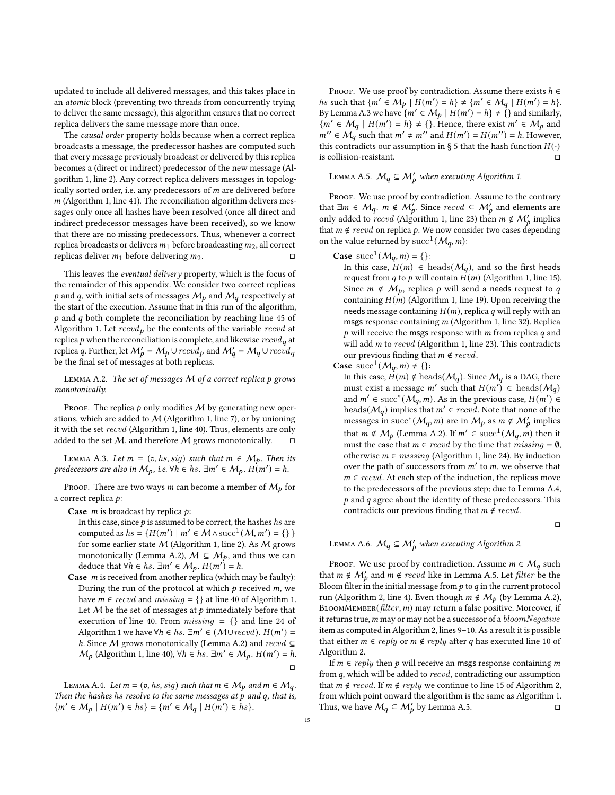updated to include all delivered messages, and this takes place in an atomic block (preventing two threads from concurrently trying to deliver the same message), this algorithm ensures that no correct replica delivers the same message more than once.

The causal order property holds because when a correct replica broadcasts a message, the predecessor hashes are computed such that every message previously broadcast or delivered by this replica becomes a (direct or indirect) predecessor of the new message (Algorithm [1,](#page-6-1) line [2\)](#page-5-1). Any correct replica delivers messages in topologically sorted order, i.e. any predecessors of  $m$  are delivered before  $m$  (Algorithm [1,](#page-6-1) line [41\)](#page-5-1). The reconciliation algorithm delivers messages only once all hashes have been resolved (once all direct and indirect predecessor messages have been received), so we know that there are no missing predecessors. Thus, whenever a correct replica broadcasts or delivers  $m_1$  before broadcasting  $m_2$ , all correct replicas deliver  $m_1$  before delivering  $m_2$ .

This leaves the eventual delivery property, which is the focus of the remainder of this appendix. We consider two correct replicas p and q, with initial sets of messages  $M_p$  and  $M_q$  respectively at the start of the execution. Assume that in this run of the algorithm,  $p$  and  $q$  both complete the reconciliation by reaching line [45](#page-5-1) of Algorithm [1.](#page-6-1) Let  $recvd_p$  be the contents of the variable  $recvd$  at replica  $p$  when the reconciliation is complete, and likewise  $\operatorname{recv}{d_q}$  at replica q. Further, let  $\mathcal{M}'_p=\mathcal{M}_p\cup revd_p$  and  $\mathcal{M}'_q=\mathcal{M}_q\cup revd_q$ be the final set of messages at both replicas.

<span id="page-14-0"></span>LEMMA A.2. The set of messages  $M$  of a correct replica  $p$  grows monotonically.

PROOF. The replica  $p$  only modifies  $M$  by generating new operations, which are added to  $M$  (Algorithm [1,](#page-6-1) line [7\)](#page-5-1), or by unioning it with the set recvd (Algorithm [1,](#page-6-1) line [40\)](#page-5-1). Thus, elements are only added to the set  $M$ , and therefore  $M$  grows monotonically.  $\square$ 

<span id="page-14-1"></span>LEMMA A.3. Let  $m = (v, hs, sig)$  such that  $m \in M_p$ . Then its predecessors are also in  $M_p$ , i.e.  $\forall h \in \text{hs.} \exists m' \in \mathcal{M}_p$ .  $H(m') = h$ .

PROOF. There are two ways *m* can become a member of  $M_p$  for a correct replica  $p$ :

**Case**  $m$  is broadcast by replica  $p$ :

In this case, since  $p$  is assumed to be correct, the hashes hs are computed as  $hs = \{H(m') \mid m' \in M \wedge succ^1(M, m') = \{\}\}\$ for some earlier state  $M$  (Algorithm [1,](#page-6-1) line [2\)](#page-5-1). As  $M$  grows monotonically (Lemma [A.2\)](#page-14-0),  $M \subseteq M_p$ , and thus we can deduce that  $\forall h \in hs$ .  $\exists m' \in M_p$ .  $H(m') = h$ .

**Case**  $m$  is received from another replica (which may be faulty): During the run of the protocol at which  $p$  received  $m$ , we have  $m \in \text{rec} \nu d$  and  $\text{missing} = \{\}$  at line [40](#page-5-1) of Algorithm [1.](#page-6-1) Let  $M$  be the set of messages at  $p$  immediately before that execution of line [40.](#page-5-1) From  $missing = \{\}$  and line [24](#page-5-1) of Algorithm [1](#page-6-1) we have  $\forall h \in hs$ .  $\exists m' \in (\mathcal{M} \cup \mathit{recvd})$ .  $H(m') =$ h. Since M grows monotonically (Lemma [A.2\)](#page-14-0) and  $recvd ⊆$  $M_p$  (Algorithm [1,](#page-6-1) line [40\)](#page-5-1),  $\forall h \in hs$ .  $\exists m' \in M_p$ .  $H(m') = h$ . □

<span id="page-14-2"></span>LEMMA A.4. Let  $m = (v, hs, sig)$  such that  $m \in \mathcal{M}_p$  and  $m \in \mathcal{M}_q$ . Then the hashes hs resolve to the same messages at  $p$  and  $q$ , that is,  ${m' \in M_p | H(m') \in hs} = {m' \in M_q | H(m') \in hs}.$ 

PROOF. We use proof by contradiction. Assume there exists  $h \in$ *hs* such that  $\{m' \in M_p \mid H(m') = h\} \neq \{m' \in M_q \mid H(m') = h\}.$ By Lemma [A.3](#page-14-1) we have  $\{m' \in M_p \mid H(m') = h\} \neq \{ \}$  and similarly,  ${m' \in M_q \mid H(m') = h} \neq {\}$ . Hence, there exist  $m' \in M_p$  and  $m'' \in M_q$  such that  $m' \neq m''$  and  $H(m') = H(m'') = h$ . However, this contradicts our assumption in § [5](#page-4-0) that the hash function  $H(·)$ is collision-resistant. □

<span id="page-14-3"></span>LEMMA A.5.  $M_q \subseteq M'_p$  when executing Algorithm [1.](#page-6-1)

PROOF. We use proof by contradiction. Assume to the contrary that  $\exists m \in \mathcal{M}_q$ .  $m \notin \mathcal{M}'_p$ . Since  $revd \subseteq \mathcal{M}'_p$  and elements are only added to recvd (Algorithm [1,](#page-6-1) line [23\)](#page-5-1) then  $m \notin \mathcal{M}'_b$  implies that  $m \notin \text{rec} \cup \{ord\}$  on replica  $p$ . We now consider two cases depending on the value returned by  $succ^1(M_q,m)$ :

# **Case** succ<sup>1</sup>( $M_q$ , m) = {}:

In this case,  $H(m) \in \text{heads}(\mathcal{M}_q)$ , and so the first heads request from q to p will contain  $H(m)$  (Algorithm [1,](#page-6-1) line [15\)](#page-5-1). Since  $m \notin M_p$ , replica p will send a needs request to q containing  $H(m)$  (Algorithm [1,](#page-6-1) line [19\)](#page-5-1). Upon receiving the needs message containing  $H(m)$ , replica  $q$  will reply with an msgs response containing  $m$  (Algorithm [1,](#page-6-1) line [32\)](#page-5-1). Replica  $p$  will receive the msgs response with  $m$  from replica  $q$  and will add  $m$  to  $revd$  (Algorithm [1,](#page-6-1) line [23\)](#page-5-1). This contradicts our previous finding that  $m \notin \text{rec} \cup d$ .

Case  $succ^1(M_q,m) \neq \{\}$ :

In this case,  $H(m) \notin \text{heads}(\mathcal{M}_q)$ . Since  $\mathcal{M}_q$  is a DAG, there must exist a message m' such that  $H(m') \in \text{heads}(\mathcal{M}_q)$ and  $m' \in succ^*(\mathcal{M}_q,m)$ . As in the previous case,  $H(m') \in$ heads( $M_a$ ) implies that  $m' \in \text{recv}$ . Note that none of the messages in succ<sup>\*</sup>( $\mathcal{M}_q$ , *m*) are in  $\mathcal{M}_p$  as  $m \notin \mathcal{M}'_p$  implies that  $m \notin M_p$  (Lemma [A.2\)](#page-14-0). If  $m' \in succ^1(M_q, m)$  then it must the case that  $m \in \text{recvd}$  by the time that  $missing = \emptyset$ , otherwise  $m \in missing$  (Algorithm [1,](#page-6-1) line [24\)](#page-5-1). By induction over the path of successors from  $m'$  to  $m$ , we observe that  $m \in \text{recv}d$ . At each step of the induction, the replicas move to the predecessors of the previous step; due to Lemma [A.4,](#page-14-2)  $p$  and  $q$  agree about the identity of these predecessors. This contradicts our previous finding that  $m \notin \text{rec} \text{vol}$ .

□

# <span id="page-14-4"></span>LEMMA A.6.  $M_q \subseteq M'_p$  when executing Algorithm [2.](#page-7-1)

PROOF. We use proof by contradiction. Assume  $m \in \mathcal{M}_q$  such that  $m \notin \mathcal{M}'_p$  and  $m \notin \text{recv}$  like in Lemma [A.5.](#page-14-3) Let filter be the Bloom filter in the initial message from  $p$  to  $q$  in the current protocol run (Algorithm [2,](#page-7-1) line [4\)](#page-6-2). Even though  $m \notin M_p$  (by Lemma [A.2\)](#page-14-0), BLOOMMEMBER( $filter, m$ ) may return a false positive. Moreover, if it returns true,  $m$  may or may not be a successor of a  $$ item as computed in Algorithm [2,](#page-7-1) lines [9–10.](#page-6-2) As a result it is possible that either  $m \in reply$  or  $m \notin reply$  after q has executed line [10](#page-6-2) of Algorithm [2.](#page-7-1)

If  $m \in reply$  then  $p$  will receive an msgs response containing  $m$ from  $q$ , which will be added to  $recvd$ , contradicting our assumption that  $m \notin \text{rec} \cup d$ . If  $m \notin \text{reply}$  we continue to line [15](#page-6-2) of Algorithm [2,](#page-7-1) from which point onward the algorithm is the same as Algorithm [1.](#page-6-1) Thus, we have  $M_q \subseteq M'_p$  by Lemma [A.5.](#page-14-3)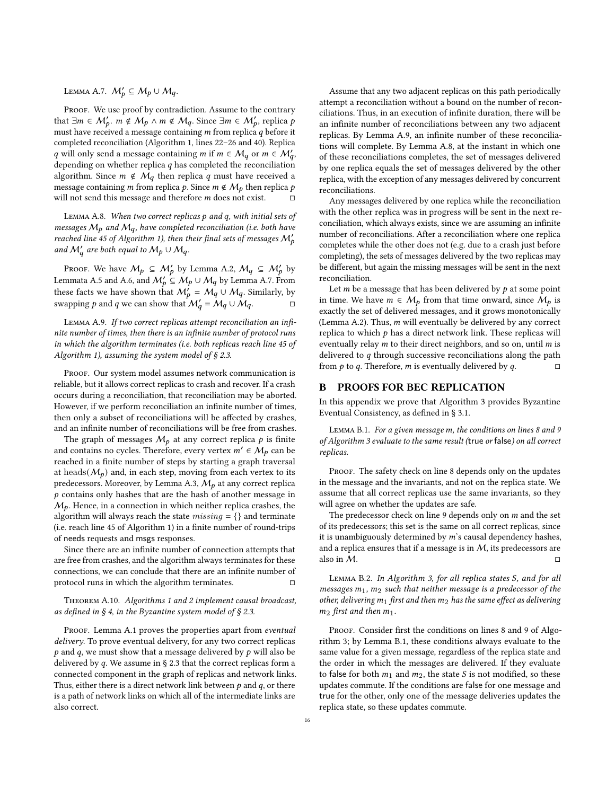# <span id="page-15-1"></span>LEMMA A.7.  $M'_p \subseteq M_p \cup M_q$ .

PROOF. We use proof by contradiction. Assume to the contrary that  $\exists m \in M'_b$ .  $m \notin M_p \land m \notin M_q$ . Since  $\exists m \in M'_b$ , replica p must have received a message containing  $m$  from replica  $q$  before it completed reconciliation (Algorithm [1,](#page-6-1) lines [22–26](#page-5-1) and [40\)](#page-5-1). Replica q will only send a message containing m if  $m \in M_q$  or  $m \in M'_q$ , depending on whether replica  $q$  has completed the reconciliation algorithm. Since  $m \notin M_q$  then replica q must have received a message containing *m* from replica *p*. Since  $m \notin M_p$  then replica *p* will not send this message and therefore  $m$  does not exist.

<span id="page-15-3"></span>LEMMA A.8. When two correct replicas  $p$  and  $q$ , with initial sets of messages  $M_p$  and  $M_q$ , have completed reconciliation (i.e. both have reached line [45](#page-5-1) of Algorithm [1\)](#page-6-1), then their final sets of messages  $\mathcal{M}'_b$ and  $M'_a$  are both equal to  $M_p \cup M_q$ .

Proof. We have  $M_p \subseteq M'_p$  by Lemma [A.2,](#page-14-0)  $M_q \subseteq M'_p$  by Lemmata [A.5](#page-14-3) and [A.6,](#page-14-4) and  $M'_b \subseteq M_p \cup M_q$  by Lemma [A.7.](#page-15-1) From these facts we have shown that  $M_{p}^{'} = M_{q}^{'} \cup M_{q}$ . Similarly, by swapping p and q we can show that  $\mathcal{M}'_q = \mathcal{M}_q \cup \mathcal{M}_q$ .

<span id="page-15-2"></span>Lemma A.9. If two correct replicas attempt reconciliation an infinite number of times, then there is an infinite number of protocol runs in which the algorithm terminates (i.e. both replicas reach line [45](#page-5-1) of Algorithm [1\)](#page-6-1), assuming the system model of  $\S 2.3$ .

PROOF. Our system model assumes network communication is reliable, but it allows correct replicas to crash and recover. If a crash occurs during a reconciliation, that reconciliation may be aborted. However, if we perform reconciliation an infinite number of times, then only a subset of reconciliations will be affected by crashes, and an infinite number of reconciliations will be free from crashes.

The graph of messages  $M_p$  at any correct replica  $p$  is finite and contains no cycles. Therefore, every vertex  $m' \in M_p$  can be reached in a finite number of steps by starting a graph traversal at heads( $M_p$ ) and, in each step, moving from each vertex to its predecessors. Moreover, by Lemma [A.3,](#page-14-1)  $M_p$  at any correct replica  $p$  contains only hashes that are the hash of another message in  $M_p$ . Hence, in a connection in which neither replica crashes, the algorithm will always reach the state  $missing = \{\}$  and terminate (i.e. reach line [45](#page-5-1) of Algorithm [1\)](#page-6-1) in a finite number of round-trips of needs requests and msgs responses.

Since there are an infinite number of connection attempts that are free from crashes, and the algorithm always terminates for these connections, we can conclude that there are an infinite number of protocol runs in which the algorithm terminates.

Theorem A.10. Algorithms [1](#page-6-1) and [2](#page-7-1) implement causal broadcast, as defined in  $\S 4$ , in the Byzantine system model of  $\S 2.3$ .

PROOF. Lemma [A.1](#page-13-37) proves the properties apart from eventual delivery. To prove eventual delivery, for any two correct replicas  $p$  and  $q$ , we must show that a message delivered by  $p$  will also be delivered by  $q.$  We assume in § [2.3](#page-1-1) that the correct replicas form a connected component in the graph of replicas and network links. Thus, either there is a direct network link between  $p$  and  $q$ , or there is a path of network links on which all of the intermediate links are also correct.

Assume that any two adjacent replicas on this path periodically attempt a reconciliation without a bound on the number of reconciliations. Thus, in an execution of infinite duration, there will be an infinite number of reconciliations between any two adjacent replicas. By Lemma [A.9,](#page-15-2) an infinite number of these reconciliations will complete. By Lemma [A.8,](#page-15-3) at the instant in which one of these reconciliations completes, the set of messages delivered by one replica equals the set of messages delivered by the other replica, with the exception of any messages delivered by concurrent reconciliations.

Any messages delivered by one replica while the reconciliation with the other replica was in progress will be sent in the next reconciliation, which always exists, since we are assuming an infinite number of reconciliations. After a reconciliation where one replica completes while the other does not (e.g. due to a crash just before completing), the sets of messages delivered by the two replicas may be different, but again the missing messages will be sent in the next reconciliation.

Let  $m$  be a message that has been delivered by  $p$  at some point in time. We have  $m \in M_p$  from that time onward, since  $M_p$  is exactly the set of delivered messages, and it grows monotonically (Lemma [A.2\)](#page-14-0). Thus,  $m$  will eventually be delivered by any correct replica to which  $p$  has a direct network link. These replicas will eventually relay  $m$  to their direct neighbors, and so on, until  $m$  is delivered to  $q$  through successive reconciliations along the path from  $p$  to  $q$ . Therefore,  $m$  is eventually delivered by  $q$ .  $\Box$ 

## <span id="page-15-0"></span>B PROOFS FOR BEC REPLICATION

In this appendix we prove that Algorithm [3](#page-9-1) provides Byzantine Eventual Consistency, as defined in § [3.1.](#page-2-3)

<span id="page-15-4"></span>LEMMA B.1. For a given message m, the conditions on lines [8](#page-8-0) and [9](#page-8-0) of Algorithm [3](#page-9-1) evaluate to the same result (true or false) on all correct replicas.

PROOF. The safety check on line [8](#page-8-0) depends only on the updates in the message and the invariants, and not on the replica state. We assume that all correct replicas use the same invariants, so they will agree on whether the updates are safe.

The predecessor check on line  $9$  depends only on  $m$  and the set of its predecessors; this set is the same on all correct replicas, since it is unambiguously determined by  $m$ 's causal dependency hashes, and a replica ensures that if a message is in  $M$ , its predecessors are also in  $M$ .  $\Box$ 

<span id="page-15-5"></span>LEMMA B.2. In Algorithm [3,](#page-9-1) for all replica states S, and for all messages  $m_1$ ,  $m_2$  such that neither message is a predecessor of the other, delivering  $m_1$  first and then  $m_2$  has the same effect as delivering  $m_2$  first and then  $m_1$ .

PROOF. Consider first the conditions on lines [8](#page-8-0) and [9](#page-8-0) of Algorithm [3;](#page-9-1) by Lemma [B.1,](#page-15-4) these conditions always evaluate to the same value for a given message, regardless of the replica state and the order in which the messages are delivered. If they evaluate to false for both  $m_1$  and  $m_2$ , the state  $S$  is not modified, so these updates commute. If the conditions are false for one message and true for the other, only one of the message deliveries updates the replica state, so these updates commute.